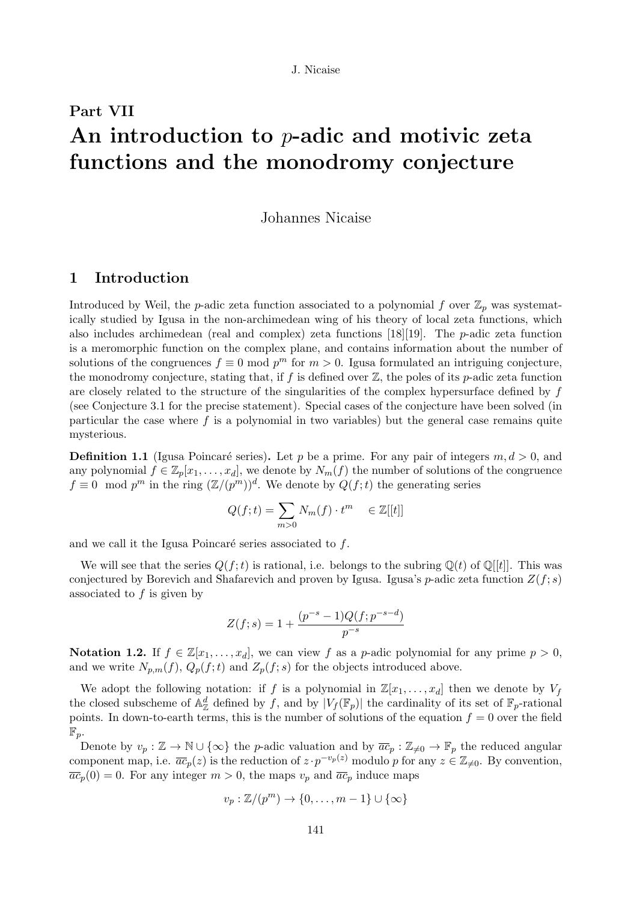# Part VII An introduction to p-adic and motivic zeta functions and the monodromy conjecture

# Johannes Nicaise

# 1 Introduction

Introduced by Weil, the p-adic zeta function associated to a polynomial f over  $\mathbb{Z}_p$  was systematically studied by Igusa in the non-archimedean wing of his theory of local zeta functions, which also includes archimedean (real and complex) zeta functions  $[18][19]$ . The *p*-adic zeta function is a meromorphic function on the complex plane, and contains information about the number of solutions of the congruences  $f \equiv 0 \mod p^m$  for  $m > 0$ . Igusa formulated an intriguing conjecture, the monodromy conjecture, stating that, if f is defined over  $\mathbb{Z}$ , the poles of its p-adic zeta function are closely related to the structure of the singularities of the complex hypersurface defined by f (see Conjecture 3.1 for the precise statement). Special cases of the conjecture have been solved (in particular the case where  $f$  is a polynomial in two variables) but the general case remains quite mysterious.

**Definition 1.1** (Igusa Poincaré series). Let p be a prime. For any pair of integers  $m, d > 0$ , and any polynomial  $f \in \mathbb{Z}_p[x_1,\ldots,x_d]$ , we denote by  $N_m(f)$  the number of solutions of the congruence  $f \equiv 0 \mod p^m$  in the ring  $(\mathbb{Z}/(p^m))^d$ . We denote by  $Q(f;t)$  the generating series

$$
Q(f;t) = \sum_{m>0} N_m(f) \cdot t^m \quad \in \mathbb{Z}[[t]]
$$

and we call it the Igusa Poincaré series associated to  $f$ .

We will see that the series  $Q(f; t)$  is rational, i.e. belongs to the subring  $\mathbb{Q}(t)$  of  $\mathbb{Q}[t]$ . This was conjectured by Borevich and Shafarevich and proven by Igusa. Igusa's p-adic zeta function  $Z(f; s)$ associated to  $f$  is given by

$$
Z(f;s) = 1 + \frac{(p^{-s} - 1)Q(f;p^{-s-d})}{p^{-s}}
$$

**Notation 1.2.** If  $f \in \mathbb{Z}[x_1, \ldots, x_d]$ , we can view f as a p-adic polynomial for any prime  $p > 0$ , and we write  $N_{p,m}(f)$ ,  $Q_p(f;t)$  and  $Z_p(f;s)$  for the objects introduced above.

We adopt the following notation: if f is a polynomial in  $\mathbb{Z}[x_1, \ldots, x_d]$  then we denote by  $V_f$ the closed subscheme of  $\mathbb{A}^d_{\mathbb{Z}}$  defined by f, and by  $|V_f(\mathbb{F}_p)|$  the cardinality of its set of  $\mathbb{F}_p$ -rational points. In down-to-earth terms, this is the number of solutions of the equation  $f = 0$  over the field  $\mathbb{F}_p$ .

Denote by  $v_p : \mathbb{Z} \to \mathbb{N} \cup \{\infty\}$  the p-adic valuation and by  $\overline{ac}_p : \mathbb{Z}_{\neq 0} \to \mathbb{F}_p$  the reduced angular component map, i.e.  $\overline{ac}_p(z)$  is the reduction of  $z \cdot p^{-v_p(z)}$  modulo p for any  $z \in \mathbb{Z}_{\neq 0}$ . By convention,  $\overline{ac}_p(0) = 0$ . For any integer  $m > 0$ , the maps  $v_p$  and  $\overline{ac}_p$  induce maps

$$
v_p: \mathbb{Z}/(p^m) \to \{0, \ldots, m-1\} \cup \{\infty\}
$$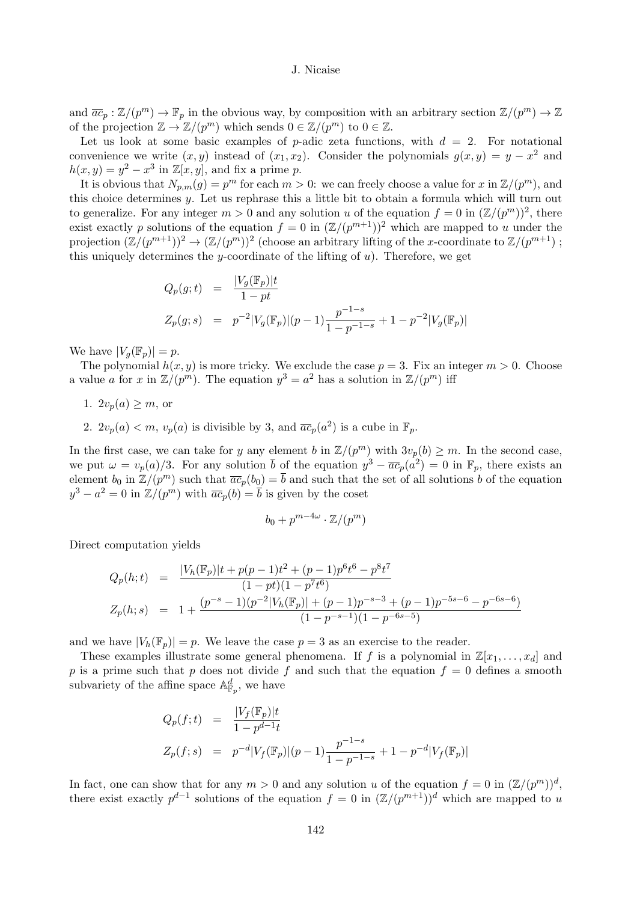and  $\overline{ac}_p : \mathbb{Z}/(p^m) \to \mathbb{F}_p$  in the obvious way, by composition with an arbitrary section  $\mathbb{Z}/(p^m) \to \mathbb{Z}$ of the projection  $\mathbb{Z} \to \mathbb{Z}/(p^m)$  which sends  $0 \in \mathbb{Z}/(p^m)$  to  $0 \in \mathbb{Z}$ .

Let us look at some basic examples of p-adic zeta functions, with  $d = 2$ . For notational convenience we write  $(x, y)$  instead of  $(x_1, x_2)$ . Consider the polynomials  $g(x, y) = y - x^2$  and  $h(x, y) = y^2 - x^3$  in  $\mathbb{Z}[x, y]$ , and fix a prime p.

It is obvious that  $N_{p,m}(g) = p^m$  for each  $m > 0$ : we can freely choose a value for x in  $\mathbb{Z}/(p^m)$ , and this choice determines y. Let us rephrase this a little bit to obtain a formula which will turn out to generalize. For any integer  $m > 0$  and any solution u of the equation  $f = 0$  in  $(\mathbb{Z}/(p^m))^2$ , there exist exactly p solutions of the equation  $f = 0$  in  $(\mathbb{Z}/(p^{m+1}))^2$  which are mapped to u under the projection  $(\mathbb{Z}/(p^{m+1}))^2 \to (\mathbb{Z}/(p^m))^2$  (choose an arbitrary lifting of the x-coordinate to  $\mathbb{Z}/(p^{m+1})$ ); this uniquely determines the y-coordinate of the lifting of  $u$ ). Therefore, we get

$$
Q_p(g;t) = \frac{|V_g(\mathbb{F}_p)|t}{1 - pt}
$$
  
\n
$$
Z_p(g;s) = p^{-2}|V_g(\mathbb{F}_p)|(p-1)\frac{p^{-1-s}}{1 - p^{-1-s}} + 1 - p^{-2}|V_g(\mathbb{F}_p)|
$$

We have  $|V_q(\mathbb{F}_p)| = p$ .

The polynomial  $h(x, y)$  is more tricky. We exclude the case  $p = 3$ . Fix an integer  $m > 0$ . Choose a value a for x in  $\mathbb{Z}/(p^m)$ . The equation  $y^3 = a^2$  has a solution in  $\mathbb{Z}/(p^m)$  iff

- 1.  $2v_p(a) \geq m$ , or
- 2.  $2v_p(a) < m$ ,  $v_p(a)$  is divisible by 3, and  $\overline{ac}_p(a^2)$  is a cube in  $\mathbb{F}_p$ .

In the first case, we can take for y any element b in  $\mathbb{Z}/(p^m)$  with  $3v_p(b) \geq m$ . In the second case, we put  $\omega = v_p(a)/3$ . For any solution  $\bar{b}$  of the equation  $y^3 - \overline{ac}_p(a^2) = 0$  in  $\mathbb{F}_p$ , there exists an element  $b_0$  in  $\mathbb{Z}/(p^m)$  such that  $\overline{ac}_p(b_0) = \overline{b}$  and such that the set of all solutions b of the equation  $y^3 - a^2 = 0$  in  $\mathbb{Z}/(p^m)$  with  $\overline{ac}_p(b) = \overline{b}$  is given by the coset

$$
b_0 + p^{m-4\omega} \cdot \mathbb{Z}/(p^m)
$$

Direct computation yields

$$
Q_p(h;t) = \frac{|V_h(\mathbb{F}_p)|t + p(p-1)t^2 + (p-1)p^6t^6 - p^8t^7}{(1 - pt)(1 - p^7t^6)}
$$
  

$$
Z_p(h;s) = 1 + \frac{(p^{-s} - 1)(p^{-2}|V_h(\mathbb{F}_p)| + (p-1)p^{-s-3} + (p-1)p^{-5s-6} - p^{-6s-6})}{(1 - p^{-s-1})(1 - p^{-6s-5})}
$$

and we have  $|V_h(\mathbb{F}_p)| = p$ . We leave the case  $p = 3$  as an exercise to the reader.

These examples illustrate some general phenomena. If f is a polynomial in  $\mathbb{Z}[x_1, \ldots, x_d]$  and p is a prime such that p does not divide f and such that the equation  $f = 0$  defines a smooth subvariety of the affine space  $\mathbb{A}^d_{\mathbb{F}_p}$ , we have

$$
Q_p(f;t) = \frac{|V_f(\mathbb{F}_p)|t}{1 - p^{d-1}t}
$$
  
\n
$$
Z_p(f;s) = p^{-d}|V_f(\mathbb{F}_p)|(p-1)\frac{p^{-1-s}}{1 - p^{-1-s}} + 1 - p^{-d}|V_f(\mathbb{F}_p)|
$$

In fact, one can show that for any  $m > 0$  and any solution u of the equation  $f = 0$  in  $(\mathbb{Z}/(p^m))^d$ , there exist exactly  $p^{d-1}$  solutions of the equation  $f = 0$  in  $(\mathbb{Z}/(p^{m+1}))^d$  which are mapped to u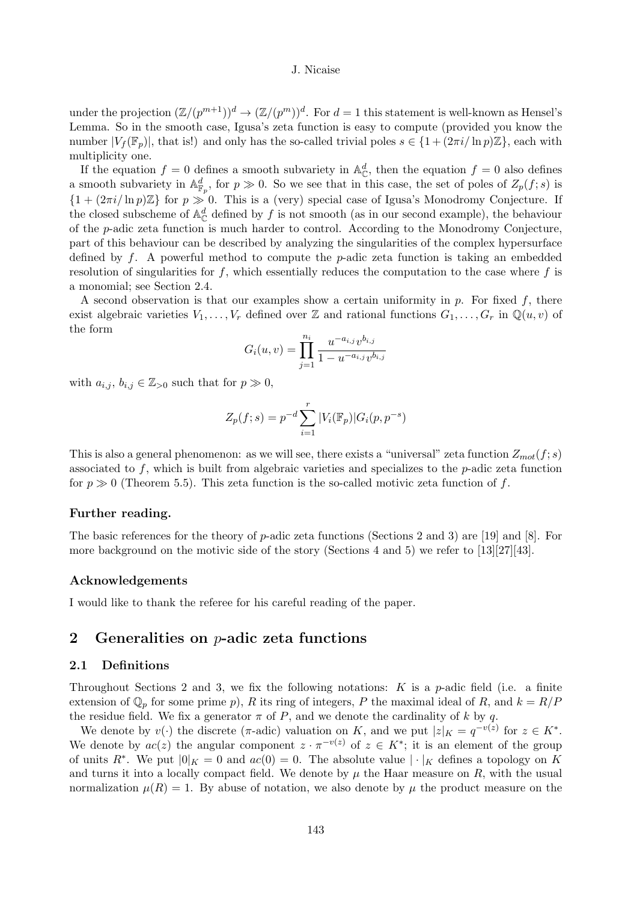under the projection  $(\mathbb{Z}/(p^{m+1}))^d \to (\mathbb{Z}/(p^m))^d$ . For  $d=1$  this statement is well-known as Hensel's Lemma. So in the smooth case, Igusa's zeta function is easy to compute (provided you know the number  $|V_f(\mathbb{F}_p)|$ , that is!) and only has the so-called trivial poles  $s \in \{1 + (2\pi i / \ln p)\mathbb{Z}\}\)$ , each with multiplicity one.

If the equation  $f = 0$  defines a smooth subvariety in  $\mathbb{A}_{\mathbb{C}}^d$ , then the equation  $f = 0$  also defines a smooth subvariety in  $\mathbb{A}^d_{\mathbb{F}_p}$ , for  $p \gg 0$ . So we see that in this case, the set of poles of  $Z_p(f; s)$  is  $\{1+(2\pi i/\ln p)\mathbb{Z}\}\$ for  $p\gg 0$ . This is a (very) special case of Igusa's Monodromy Conjecture. If the closed subscheme of  $\mathbb{A}_{\mathbb{C}}^d$  defined by f is not smooth (as in our second example), the behaviour of the p-adic zeta function is much harder to control. According to the Monodromy Conjecture, part of this behaviour can be described by analyzing the singularities of the complex hypersurface defined by  $f$ . A powerful method to compute the  $p$ -adic zeta function is taking an embedded resolution of singularities for f, which essentially reduces the computation to the case where  $f$  is a monomial; see Section 2.4.

A second observation is that our examples show a certain uniformity in  $p$ . For fixed  $f$ , there exist algebraic varieties  $V_1, \ldots, V_r$  defined over Z and rational functions  $G_1, \ldots, G_r$  in  $\mathbb{Q}(u, v)$  of the form

$$
G_i(u,v) = \prod_{j=1}^{n_i} \frac{u^{-a_{i,j}} v^{b_{i,j}}}{1 - u^{-a_{i,j}} v^{b_{i,j}}}
$$

with  $a_{i,j}, b_{i,j} \in \mathbb{Z}_{>0}$  such that for  $p \gg 0$ ,

$$
Z_p(f;s) = p^{-d} \sum_{i=1}^r |V_i(\mathbb{F}_p)| G_i(p, p^{-s})
$$

This is also a general phenomenon: as we will see, there exists a "universal" zeta function  $Z_{mot}(f; s)$ associated to  $f$ , which is built from algebraic varieties and specializes to the  $p$ -adic zeta function for  $p \gg 0$  (Theorem 5.5). This zeta function is the so-called motivic zeta function of f.

## Further reading.

The basic references for the theory of  $p$ -adic zeta functions (Sections 2 and 3) are [19] and [8]. For more background on the motivic side of the story (Sections 4 and 5) we refer to [13][27][43].

# Acknowledgements

I would like to thank the referee for his careful reading of the paper.

# 2 Generalities on  $p$ -adic zeta functions

# 2.1 Definitions

Throughout Sections 2 and 3, we fix the following notations: K is a p-adic field (i.e. a finite extension of  $\mathbb{Q}_p$  for some prime p), R its ring of integers, P the maximal ideal of R, and  $k = R/P$ the residue field. We fix a generator  $\pi$  of P, and we denote the cardinality of k by q.

We denote by  $v(\cdot)$  the discrete ( $\pi$ -adic) valuation on K, and we put  $|z|_K = q^{-v(z)}$  for  $z \in K^*$ . We denote by  $ac(z)$  the angular component  $z \cdot \pi^{-v(z)}$  of  $z \in K^*$ ; it is an element of the group of units  $R^*$ . We put  $|0|_K = 0$  and  $ac(0) = 0$ . The absolute value  $|\cdot|_K$  defines a topology on K and turns it into a locally compact field. We denote by  $\mu$  the Haar measure on R, with the usual normalization  $\mu(R) = 1$ . By abuse of notation, we also denote by  $\mu$  the product measure on the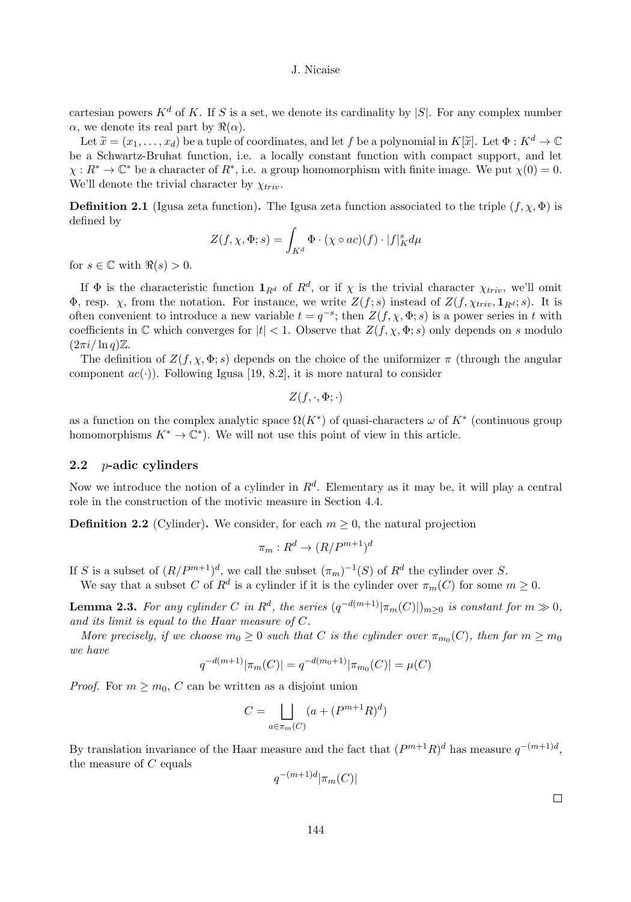cartesian powers  $K^d$  of K. If S is a set, we denote its cardinality by  $|S|$ . For any complex number  $\alpha$ , we denote its real part by  $\Re(\alpha)$ .

Let  $\tilde{x} = (x_1, \ldots, x_d)$  be a tuple of coordinates, and let f be a polynomial in  $K[\tilde{x}]$ . Let  $\Phi : K^d \to \mathbb{C}$ be a Schwartz-Bruhat function, i.e. a locally constant function with compact support, and let  $\chi: R^* \to \mathbb{C}^*$  be a character of  $R^*$ , i.e. a group homomorphism with finite image. We put  $\chi(0) = 0$ . We'll denote the trivial character by  $\chi_{triv}$ .

**Definition 2.1** (Igusa zeta function). The Igusa zeta function associated to the triple  $(f, \chi, \Phi)$  is defined by

$$
Z(f, \chi, \Phi; s) = \int_{K^d} \Phi \cdot (\chi \circ ac)(f) \cdot |f|_K^s d\mu
$$

for  $s \in \mathbb{C}$  with  $\Re(s) > 0$ .

If  $\Phi$  is the characteristic function  $\mathbf{1}_{R^d}$  of  $R^d$ , or if  $\chi$  is the trivial character  $\chi_{triv}$ , we'll omit Φ, resp.  $\chi$ , from the notation. For instance, we write  $Z(f; s)$  instead of  $Z(f, \chi_{triv}, \mathbf{1}_{R^d}; s)$ . It is often convenient to introduce a new variable  $t = q^{-s}$ ; then  $Z(f, \chi, \Phi; s)$  is a power series in t with coefficients in  $\mathbb C$  which converges for  $|t| < 1$ . Observe that  $Z(f, \chi, \Phi; s)$  only depends on s modulo  $(2\pi i/\ln q)\mathbb{Z}$ .

The definition of  $Z(f, \chi, \Phi; s)$  depends on the choice of the uniformizer  $\pi$  (through the angular component  $ac(\cdot)$ ). Following Igusa [19, 8.2], it is more natural to consider

$$
Z(f,\cdot,\Phi;\cdot)
$$

as a function on the complex analytic space  $\Omega(K^*)$  of quasi-characters  $\omega$  of  $K^*$  (continuous group homomorphisms  $K^* \to \mathbb{C}^*$ ). We will not use this point of view in this article.

#### 2.2 *p*-adic cylinders

Now we introduce the notion of a cylinder in  $R^d$ . Elementary as it may be, it will play a central role in the construction of the motivic measure in Section 4.4.

**Definition 2.2** (Cylinder). We consider, for each  $m \geq 0$ , the natural projection

$$
\pi_m: R^d \to (R/P^{m+1})^d
$$

If S is a subset of  $(R/P^{m+1})^d$ , we call the subset  $(\pi_m)^{-1}(S)$  of  $R^d$  the cylinder over S.

We say that a subset C of  $R^d$  is a cylinder if it is the cylinder over  $\pi_m(C)$  for some  $m \geq 0$ .

**Lemma 2.3.** For any cylinder C in  $\mathbb{R}^d$ , the series  $(q^{-d(m+1)}|\pi_m(C)|)_{m\geq 0}$  is constant for  $m \gg 0$ , and its limit is equal to the Haar measure of C.

More precisely, if we choose  $m_0 \geq 0$  such that C is the cylinder over  $\pi_{m_0}(C)$ , then for  $m \geq m_0$ we have

$$
q^{-d(m+1)}|\pi_m(C)| = q^{-d(m_0+1)}|\pi_{m_0}(C)| = \mu(C)
$$

*Proof.* For  $m \geq m_0$ , C can be written as a disjoint union

$$
C = \bigsqcup_{a \in \pi_m(C)} (a + (P^{m+1}R)^d)
$$

By translation invariance of the Haar measure and the fact that  $(P^{m+1}R)^d$  has measure  $q^{-(m+1)d}$ , the measure of  $C$  equals

$$
q^{-(m+1)d}|\pi_m(C)|
$$

 $\Box$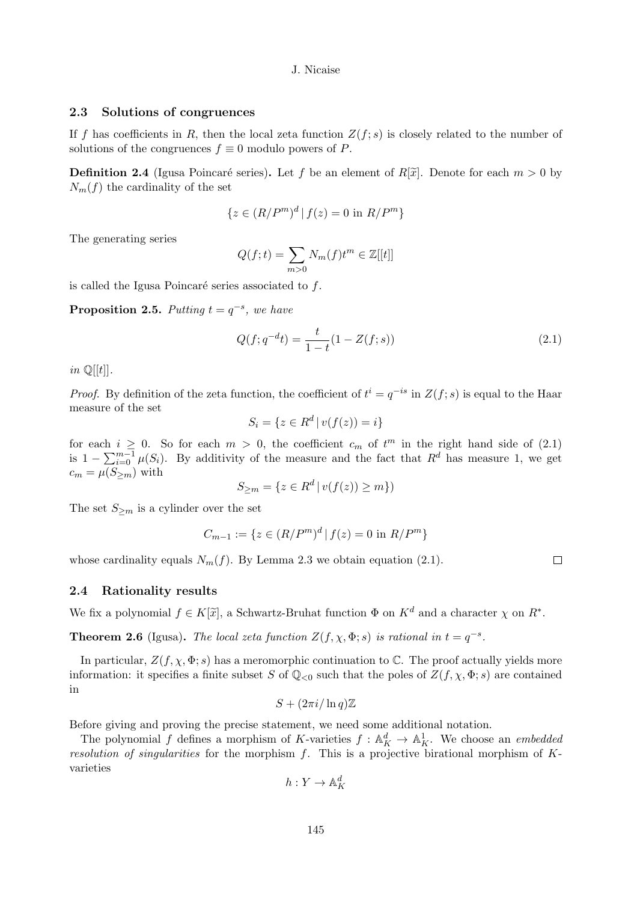# 2.3 Solutions of congruences

If f has coefficients in R, then the local zeta function  $Z(f; s)$  is closely related to the number of solutions of the congruences  $f \equiv 0$  modulo powers of P.

**Definition 2.4** (Igusa Poincaré series). Let f be an element of  $R[\tilde{x}]$ . Denote for each  $m > 0$  by  $N_m(f)$  the cardinality of the set

$$
\{z \in (R/P^m)^d \,|\, f(z) = 0 \text{ in } R/P^m\}
$$

The generating series

$$
Q(f; t) = \sum_{m>0} N_m(f)t^m \in \mathbb{Z}[[t]]
$$

is called the Igusa Poincaré series associated to  $f$ .

**Proposition 2.5.** Putting  $t = q^{-s}$ , we have

$$
Q(f; q^{-d}t) = \frac{t}{1-t}(1 - Z(f; s))
$$
\n(2.1)

in  $\mathbb{Q}[[t]]$ .

*Proof.* By definition of the zeta function, the coefficient of  $t^i = q^{-is}$  in  $Z(f; s)$  is equal to the Haar measure of the set

$$
S_i = \{ z \in R^d \, | \, v(f(z)) = i \}
$$

for each  $i \geq 0$ . So for each  $m > 0$ , the coefficient  $c_m$  of  $t^m$  in the right hand side of (2.1) is  $1 - \sum_{i=0}^{m-1} \mu(S_i)$ . By additivity of the measure and the fact that  $R^d$  has measure 1, we get  $c_m = \mu(S_{\geq m})$  with

$$
S_{\geq m} = \{ z \in R^d \mid v(f(z)) \geq m \})
$$

The set  $S_{\geq m}$  is a cylinder over the set

$$
C_{m-1}:=\{z\in (R/P^m)^d\,|\, f(z)=0\text{ in }R/P^m\}
$$

whose cardinality equals  $N_m(f)$ . By Lemma 2.3 we obtain equation (2.1).

# 2.4 Rationality results

We fix a polynomial  $f \in K[\tilde{x}]$ , a Schwartz-Bruhat function  $\Phi$  on  $K^d$  and a character  $\chi$  on  $R^*$ .

**Theorem 2.6** (Igusa). The local zeta function  $Z(f, \chi, \Phi; s)$  is rational in  $t = q^{-s}$ .

In particular,  $Z(f, \chi, \Phi; s)$  has a meromorphic continuation to C. The proof actually yields more information: it specifies a finite subset S of  $\mathbb{Q}_{\leq 0}$  such that the poles of  $Z(f, \chi, \Phi; s)$  are contained in

$$
S+(2\pi i/\ln q)\mathbb{Z}
$$

Before giving and proving the precise statement, we need some additional notation.

The polynomial f defines a morphism of K-varieties  $f : \mathbb{A}^d_K \to \mathbb{A}^1_K$ . We choose an *embedded* resolution of singularities for the morphism  $f$ . This is a projective birational morphism of  $K$ varieties

$$
h: Y \to \mathbb{A}^d_K
$$

 $\Box$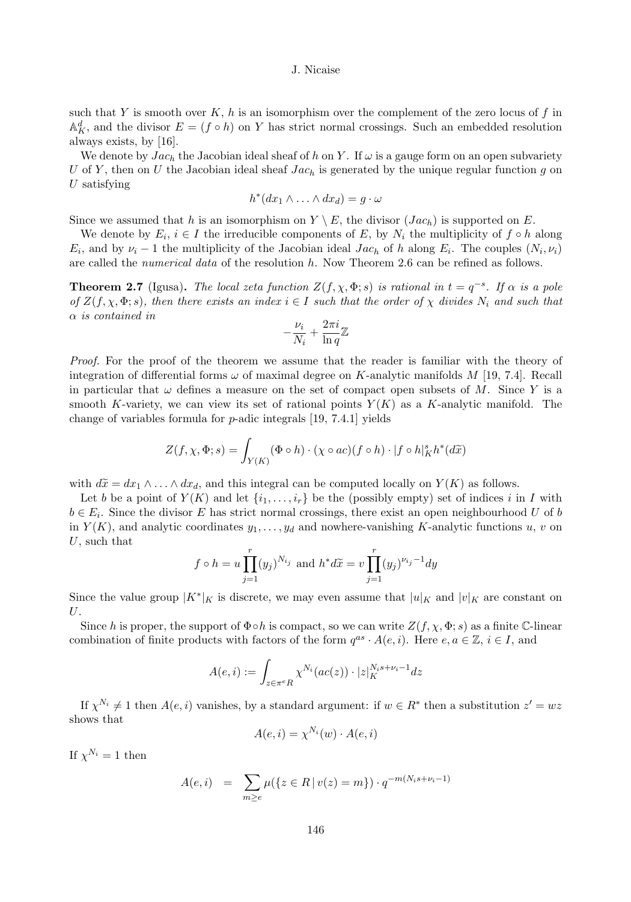such that Y is smooth over  $K$ , h is an isomorphism over the complement of the zero locus of f in  $\mathbb{A}_{K}^{d}$ , and the divisor  $E = (f \circ h)$  on Y has strict normal crossings. Such an embedded resolution always exists, by [16].

We denote by  $Jac_h$  the Jacobian ideal sheaf of h on Y. If  $\omega$  is a gauge form on an open subvariety U of Y, then on U the Jacobian ideal sheaf  $Jac_h$  is generated by the unique regular function g on  $U$  satisfying

$$
h^*(dx_1 \wedge \ldots \wedge dx_d) = g \cdot \omega
$$

Since we assumed that h is an isomorphism on  $Y \setminus E$ , the divisor  $(Jac_h)$  is supported on E.

We denote by  $E_i$ ,  $i \in I$  the irreducible components of E, by  $N_i$  the multiplicity of  $f \circ h$  along  $E_i$ , and by  $\nu_i - 1$  the multiplicity of the Jacobian ideal Jac<sub>h</sub> of h along  $E_i$ . The couples  $(N_i, \nu_i)$ are called the *numerical data* of the resolution h. Now Theorem 2.6 can be refined as follows.

**Theorem 2.7** (Igusa). The local zeta function  $Z(f, \chi, \Phi; s)$  is rational in  $t = q^{-s}$ . If  $\alpha$  is a pole of  $Z(f, \chi, \Phi; s)$ , then there exists an index  $i \in I$  such that the order of  $\chi$  divides  $N_i$  and such that α is contained in

$$
-\frac{\nu_i}{N_i}+\frac{2\pi i}{\ln q}\mathbb{Z}
$$

Proof. For the proof of the theorem we assume that the reader is familiar with the theory of integration of differential forms  $\omega$  of maximal degree on K-analytic manifolds M [19, 7.4]. Recall in particular that  $\omega$  defines a measure on the set of compact open subsets of M. Since Y is a smooth K-variety, we can view its set of rational points  $Y(K)$  as a K-analytic manifold. The change of variables formula for  $p$ -adic integrals [19, 7.4.1] yields

$$
Z(f, \chi, \Phi; s) = \int_{Y(K)} (\Phi \circ h) \cdot (\chi \circ ac)(f \circ h) \cdot |f \circ h|_K^s h^*(d\tilde{x})
$$

with  $d\tilde{x} = dx_1 \wedge \ldots \wedge dx_d$ , and this integral can be computed locally on  $Y(K)$  as follows.

Let b be a point of  $Y(K)$  and let  $\{i_1, \ldots, i_r\}$  be the (possibly empty) set of indices i in I with  $b \in E_i$ . Since the divisor E has strict normal crossings, there exist an open neighbourhood U of b in  $Y(K)$ , and analytic coordinates  $y_1, \ldots, y_d$  and nowhere-vanishing K-analytic functions u, v on U, such that

$$
f \circ h = u \prod_{j=1}^{r} (y_j)^{N_{i_j}}
$$
 and  $h^* d\tilde{x} = v \prod_{j=1}^{r} (y_j)^{\nu_{i_j} - 1} dy$ 

Since the value group  $|K^*|_K$  is discrete, we may even assume that  $|u|_K$  and  $|v|_K$  are constant on U.

Since h is proper, the support of  $\Phi \circ h$  is compact, so we can write  $Z(f, \chi, \Phi; s)$  as a finite C-linear combination of finite products with factors of the form  $q^{as} \cdot A(e, i)$ . Here  $e, a \in \mathbb{Z}$ ,  $i \in I$ , and

$$
A(e, i) := \int_{z \in \pi^e R} \chi^{N_i}(ac(z)) \cdot |z|_K^{N_i s + \nu_i - 1} dz
$$

If  $\chi^{N_i} \neq 1$  then  $A(e, i)$  vanishes, by a standard argument: if  $w \in R^*$  then a substitution  $z' = wz$ shows that

$$
A(e, i) = \chi^{N_i}(w) \cdot A(e, i)
$$

If  $\chi^{N_i} = 1$  then

$$
A(e, i) = \sum_{m \ge e} \mu(\{z \in R \mid v(z) = m\}) \cdot q^{-m(N_i s + \nu_i - 1)}
$$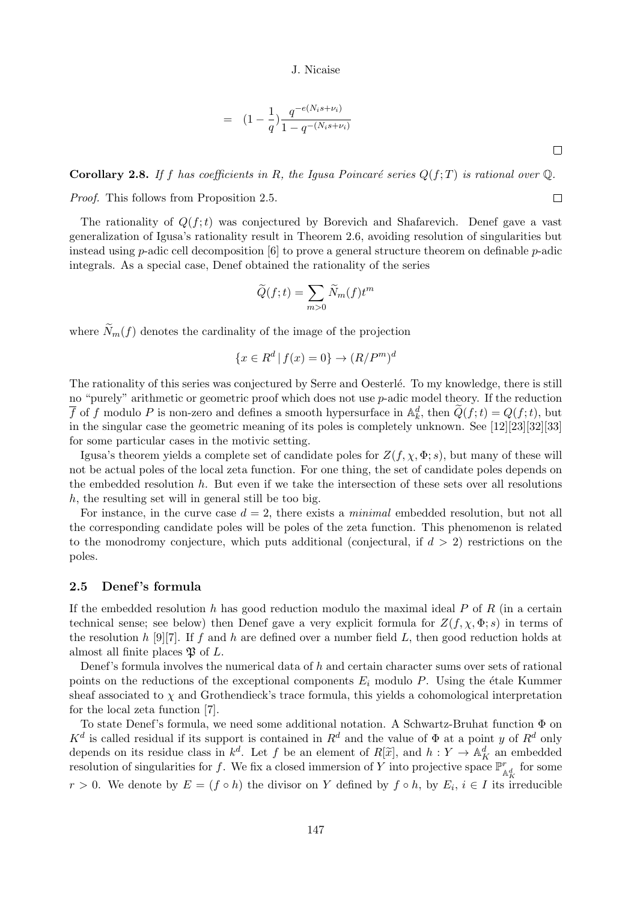$$
= (1 - \frac{1}{q}) \frac{q^{-e(N_i s + \nu_i)}}{1 - q^{-(N_i s + \nu_i)}}
$$

**Corollary 2.8.** If f has coefficients in R, the Igusa Poincaré series  $Q(f;T)$  is rational over  $\mathbb{Q}$ .

Proof. This follows from Proposition 2.5.

The rationality of  $Q(f; t)$  was conjectured by Borevich and Shafarevich. Denef gave a vast generalization of Igusa's rationality result in Theorem 2.6, avoiding resolution of singularities but instead using p-adic cell decomposition  $[6]$  to prove a general structure theorem on definable p-adic integrals. As a special case, Denef obtained the rationality of the series

$$
\widetilde{Q}(f;t) = \sum_{m>0} \widetilde{N}_m(f)t^m
$$

where  $N_m(f)$  denotes the cardinality of the image of the projection

$$
\{x \in R^d \mid f(x) = 0\} \to (R/P^m)^d
$$

The rationality of this series was conjectured by Serre and Oesterlé. To my knowledge, there is still no "purely" arithmetic or geometric proof which does not use  $p$ -adic model theory. If the reduction  $\overline{f}$  of f modulo P is non-zero and defines a smooth hypersurface in  $\mathbb{A}_k^d$ , then  $\widetilde{Q}(f;t) = Q(f;t)$ , but in the singular case the geometric meaning of its poles is completely unknown. See [12][23][32][33] for some particular cases in the motivic setting.

Igusa's theorem yields a complete set of candidate poles for  $Z(f, \chi, \Phi; s)$ , but many of these will not be actual poles of the local zeta function. For one thing, the set of candidate poles depends on the embedded resolution  $h$ . But even if we take the intersection of these sets over all resolutions h, the resulting set will in general still be too big.

For instance, in the curve case  $d = 2$ , there exists a *minimal* embedded resolution, but not all the corresponding candidate poles will be poles of the zeta function. This phenomenon is related to the monodromy conjecture, which puts additional (conjectural, if  $d > 2$ ) restrictions on the poles.

# 2.5 Denef 's formula

If the embedded resolution h has good reduction modulo the maximal ideal  $P$  of  $R$  (in a certain technical sense; see below) then Denef gave a very explicit formula for  $Z(f, \chi, \Phi, s)$  in terms of the resolution h [9][7]. If f and h are defined over a number field L, then good reduction holds at almost all finite places  $\mathfrak P$  of L.

Denef's formula involves the numerical data of h and certain character sums over sets of rational points on the reductions of the exceptional components  $E_i$  modulo P. Using the étale Kummer sheaf associated to  $\chi$  and Grothendieck's trace formula, this yields a cohomological interpretation for the local zeta function [7].

To state Denef's formula, we need some additional notation. A Schwartz-Bruhat function Φ on  $K^d$  is called residual if its support is contained in  $R^d$  and the value of  $\Phi$  at a point y of  $R^d$  only depends on its residue class in  $k^d$ . Let f be an element of  $R[\tilde{x}]$ , and  $h: Y \to \mathbb{A}^d_K$  an embedded resolution of singularities for f. We fix a closed immersion of Y into projective space  $\mathbb{P}^r_{\mathbb{A}^d_K}$  for some  $r > 0$ . We denote by  $E = (f \circ h)$  the divisor on Y defined by  $f \circ h$ , by  $E_i$ ,  $i \in I$  its irreducible

 $\Box$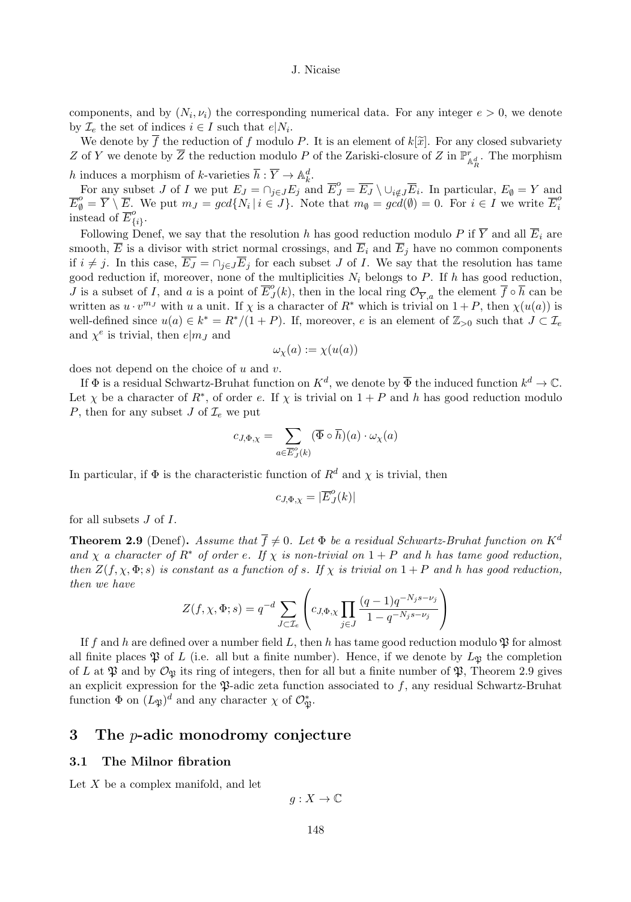components, and by  $(N_i, \nu_i)$  the corresponding numerical data. For any integer  $e > 0$ , we denote by  $\mathcal{I}_e$  the set of indices  $i \in I$  such that  $e|N_i$ .

We denote by  $\overline{f}$  the reduction of f modulo P. It is an element of  $k[\tilde{x}]$ . For any closed subvariety Z of Y we denote by  $\overline{Z}$  the reduction modulo P of the Zariski-closure of Z in  $\mathbb{P}^r_{\mathbb{A}^d_R}$ . The morphism h induces a morphism of k-varieties  $\overline{h} : \overline{Y} \to \mathbb{A}_{k}^d$ .

For any subset J of I we put  $E_J = \cap_{j \in J} E_j$  and  $\overline{E}_J^o = \overline{E_J} \setminus \cup_{i \notin J} \overline{E}_i$ . In particular,  $E_{\emptyset} = Y$  and  $\overline{E}_{\theta}^o = \overline{Y} \setminus \overline{E}_{\theta}$ . We put  $m_J = gcd\{N_i \mid i \in J\}$ . Note that  $m_{\theta} = gcd(\theta) = 0$ . For  $i \in I$  we write  $\overline{E}_{i}^o$ instead of  $\overline{E}_{\{i\}}^o$ .

Following Denef, we say that the resolution h has good reduction modulo P if  $\overline{Y}$  and all  $\overline{E}_i$  are smooth,  $\overline{E}$  is a divisor with strict normal crossings, and  $\overline{E}_i$  and  $\overline{E}_j$  have no common components if  $i \neq j$ . In this case,  $\overline{E_J} = \cap_{j \in J} \overline{E_j}$  for each subset J of I. We say that the resolution has tame good reduction if, moreover, none of the multiplicities  $N_i$  belongs to P. If h has good reduction, J is a subset of I, and a is a point of  $\overline{E}_{J}^{o}(k)$ , then in the local ring  $\mathcal{O}_{\overline{Y},a}$  the element  $\overline{f} \circ \overline{h}$  can be written as  $u \cdot v^{m_j}$  with u a unit. If  $\chi$  is a character of  $R^*$  which is trivial on  $1 + P$ , then  $\chi(u(a))$  is well-defined since  $u(a) \in k^* = R^*/(1+P)$ . If, moreover, e is an element of  $\mathbb{Z}_{>0}$  such that  $J \subset \mathcal{I}_e$ and  $\chi^e$  is trivial, then  $e|m_J$  and

$$
\omega_{\chi}(a) := \chi(u(a))
$$

does not depend on the choice of  $u$  and  $v$ .

If  $\Phi$  is a residual Schwartz-Bruhat function on  $K^d$ , we denote by  $\overline{\Phi}$  the induced function  $k^d \to \mathbb{C}$ . Let  $\chi$  be a character of  $R^*$ , of order e. If  $\chi$  is trivial on  $1 + P$  and h has good reduction modulo P, then for any subset J of  $\mathcal{I}_{e}$  we put

$$
c_{J,\Phi,\chi} = \sum_{a \in \overline{E}_{J}^{o}(k)} (\overline{\Phi} \circ \overline{h})(a) \cdot \omega_{\chi}(a)
$$

In particular, if  $\Phi$  is the characteristic function of  $R^d$  and  $\chi$  is trivial, then

$$
c_{J,\Phi,\chi}=|\overline{E}^o_J(k)|
$$

for all subsets  $J$  of  $I$ .

**Theorem 2.9** (Denef). Assume that  $\overline{f} \neq 0$ . Let  $\Phi$  be a residual Schwartz-Bruhat function on K<sup>d</sup> and  $\chi$  a character of  $R^*$  of order e. If  $\chi$  is non-trivial on  $1+P$  and h has tame good reduction, then  $Z(f, \chi, \Phi; s)$  is constant as a function of s. If  $\chi$  is trivial on  $1 + P$  and h has good reduction, then we have

$$
Z(f, \chi, \Phi; s) = q^{-d} \sum_{J \subset \mathcal{I}_e} \left( c_{J, \Phi, \chi} \prod_{j \in J} \frac{(q-1)q^{-N_j s - \nu_j}}{1 - q^{-N_j s - \nu_j}} \right)
$$

If f and h are defined over a number field L, then h has tame good reduction modulo  $\mathfrak P$  for almost all finite places  $\mathfrak P$  of L (i.e. all but a finite number). Hence, if we denote by  $L_{\mathfrak P}$  the completion of L at  $\mathfrak P$  and by  $\mathcal O_{\mathfrak P}$  its ring of integers, then for all but a finite number of  $\mathfrak P$ , Theorem 2.9 gives an explicit expression for the  $\mathfrak P$ -adic zeta function associated to f, any residual Schwartz-Bruhat function  $\Phi$  on  $(L_{\mathfrak{P}})^d$  and any character  $\chi$  of  $\mathcal{O}_{\mathfrak{P}}^*$ .

# 3 The p-adic monodromy conjecture

# 3.1 The Milnor fibration

Let  $X$  be a complex manifold, and let

$$
g:X\to\mathbb{C}
$$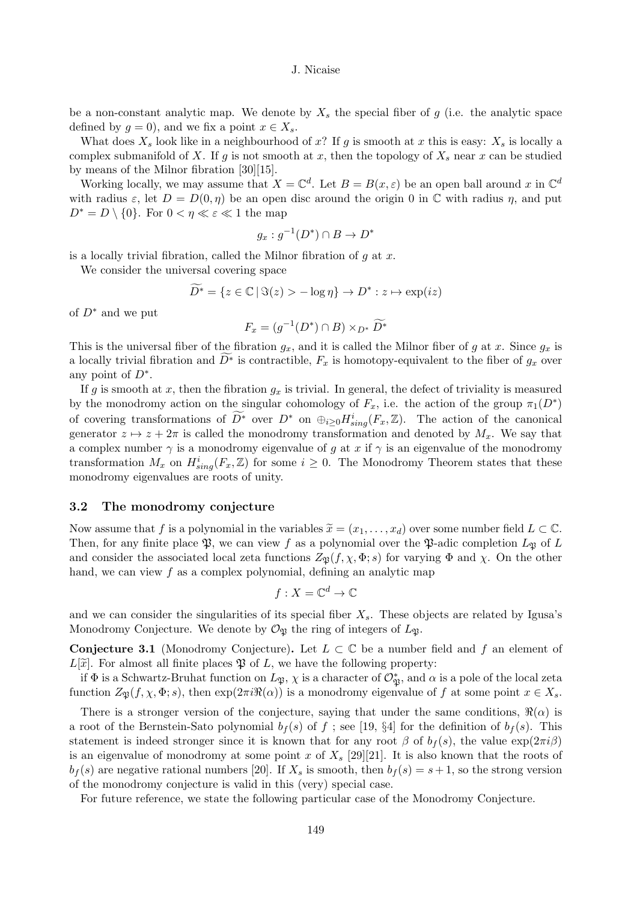be a non-constant analytic map. We denote by  $X_s$  the special fiber of g (i.e. the analytic space defined by  $g = 0$ , and we fix a point  $x \in X_s$ .

What does  $X_s$  look like in a neighbourhood of x? If g is smooth at x this is easy:  $X_s$  is locally a complex submanifold of X. If g is not smooth at x, then the topology of  $X_s$  near x can be studied by means of the Milnor fibration [30][15].

Working locally, we may assume that  $X = \mathbb{C}^d$ . Let  $B = B(x, \varepsilon)$  be an open ball around x in  $\mathbb{C}^d$ with radius  $\varepsilon$ , let  $D = D(0, \eta)$  be an open disc around the origin 0 in  $\mathbb C$  with radius  $\eta$ , and put  $D^* = D \setminus \{0\}$ . For  $0 < \eta \ll \varepsilon \ll 1$  the map

$$
g_x:g^{-1}(D^*)\cap B\to D^*
$$

is a locally trivial fibration, called the Milnor fibration of  $g$  at  $x$ .

We consider the universal covering space

$$
\widetilde{D^*} = \{ z \in \mathbb{C} \mid \Im(z) > -\log \eta \} \to D^* : z \mapsto \exp(iz)
$$

of  $D^*$  and we put

$$
F_x = (g^{-1}(D^*) \cap B) \times_{D^*} \widetilde{D^*}
$$

This is the universal fiber of the fibration  $g_x$ , and it is called the Milnor fiber of g at x. Since  $g_x$  is a locally trivial fibration and  $D^*$  is contractible,  $F_x$  is homotopy-equivalent to the fiber of  $g_x$  over any point of  $D^*$ .

If g is smooth at x, then the fibration  $g_x$  is trivial. In general, the defect of triviality is measured by the monodromy action on the singular cohomology of  $F_x$ , i.e. the action of the group  $\pi_1(D^*)$ of covering transformations of  $\overline{D}^*$  over  $D^*$  on  $\oplus_{i\geq 0} H_{sing}^i(F_x, \mathbb{Z})$ . The action of the canonical generator  $z \mapsto z + 2\pi$  is called the monodromy transformation and denoted by  $M_x$ . We say that a complex number  $\gamma$  is a monodromy eigenvalue of g at x if  $\gamma$  is an eigenvalue of the monodromy transformation  $M_x$  on  $H_{sing}^i(F_x, \mathbb{Z})$  for some  $i \geq 0$ . The Monodromy Theorem states that these monodromy eigenvalues are roots of unity.

#### 3.2 The monodromy conjecture

Now assume that f is a polynomial in the variables  $\tilde{x} = (x_1, \ldots, x_d)$  over some number field  $L \subset \mathbb{C}$ . Then, for any finite place  $\mathfrak{P}$ , we can view f as a polynomial over the  $\mathfrak{P}$ -adic completion  $L_{\mathfrak{P}}$  of L and consider the associated local zeta functions  $Z_{\mathfrak{P}}(f, \chi, \Phi; s)$  for varying  $\Phi$  and  $\chi$ . On the other hand, we can view  $f$  as a complex polynomial, defining an analytic map

$$
f:X=\mathbb{C}^d\to\mathbb{C}
$$

and we can consider the singularities of its special fiber  $X_s$ . These objects are related by Igusa's Monodromy Conjecture. We denote by  $\mathcal{O}_{\mathfrak{P}}$  the ring of integers of  $L_{\mathfrak{P}}$ .

**Conjecture 3.1** (Monodromy Conjecture). Let  $L \subset \mathbb{C}$  be a number field and f an element of  $L[\tilde{x}]$ . For almost all finite places  $\mathfrak P$  of L, we have the following property:

if  $\Phi$  is a Schwartz-Bruhat function on  $L_{\mathfrak{P}}, \chi$  is a character of  $\mathcal{O}_{\mathfrak{P}}^*$ , and  $\alpha$  is a pole of the local zeta function  $Z_{\mathfrak{P}}(f, \chi, \Phi; s)$ , then  $\exp(2\pi i \Re(\alpha))$  is a monodromy eigenvalue of f at some point  $x \in X_s$ .

There is a stronger version of the conjecture, saying that under the same conditions,  $\Re(\alpha)$  is a root of the Bernstein-Sato polynomial  $b_f(s)$  of f; see [19, §4] for the definition of  $b_f(s)$ . This statement is indeed stronger since it is known that for any root  $\beta$  of  $b_f(s)$ , the value  $\exp(2\pi i\beta)$ is an eigenvalue of monodromy at some point x of  $X_s$  [29][21]. It is also known that the roots of  $b_f(s)$  are negative rational numbers [20]. If  $X_s$  is smooth, then  $b_f(s) = s + 1$ , so the strong version of the monodromy conjecture is valid in this (very) special case.

For future reference, we state the following particular case of the Monodromy Conjecture.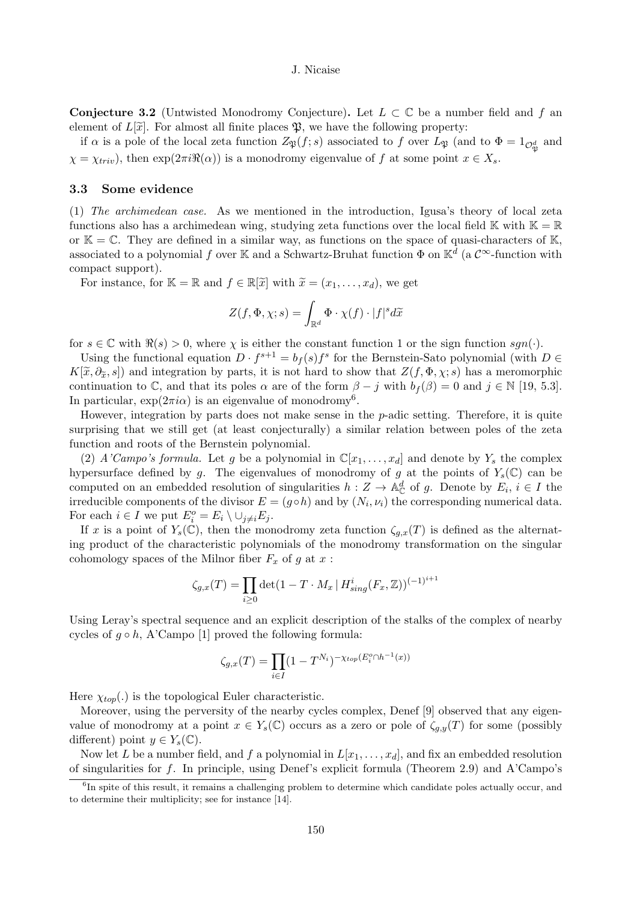**Conjecture 3.2** (Untwisted Monodromy Conjecture). Let  $L \subset \mathbb{C}$  be a number field and f an element of  $L[\tilde{x}]$ . For almost all finite places  $\mathfrak{P}$ , we have the following property:

if  $\alpha$  is a pole of the local zeta function  $Z_{\mathfrak{P}}(f;s)$  associated to f over  $L_{\mathfrak{P}}$  (and to  $\Phi = 1_{\mathcal{O}^d_{\mathfrak{P}}}$  and  $\chi = \chi_{triv}$ , then  $\exp(2\pi i \Re(\alpha))$  is a monodromy eigenvalue of f at some point  $x \in X_s$ .

#### 3.3 Some evidence

(1) The archimedean case. As we mentioned in the introduction, Igusa's theory of local zeta functions also has a archimedean wing, studying zeta functions over the local field K with  $\mathbb{K} = \mathbb{R}$ or  $\mathbb{K} = \mathbb{C}$ . They are defined in a similar way, as functions on the space of quasi-characters of  $\mathbb{K}$ , associated to a polynomial f over K and a Schwartz-Bruhat function  $\Phi$  on K<sup>d</sup> (a  $\mathcal{C}^{\infty}$ -function with compact support).

For instance, for  $\mathbb{K} = \mathbb{R}$  and  $f \in \mathbb{R}[\tilde{x}]$  with  $\tilde{x} = (x_1, \ldots, x_d)$ , we get

$$
Z(f, \Phi, \chi; s) = \int_{\mathbb{R}^d} \Phi \cdot \chi(f) \cdot |f|^s d\widetilde{x}
$$

for  $s \in \mathbb{C}$  with  $\Re(s) > 0$ , where  $\chi$  is either the constant function 1 or the sign function  $sgn(\cdot)$ .

Using the functional equation  $D \cdot f^{s+1} = b_f(s) f^s$  for the Bernstein-Sato polynomial (with  $D \in$  $K[\tilde{x}, \partial_{\tilde{x}}, s]$  and integration by parts, it is not hard to show that  $Z(f, \Phi, \chi; s)$  has a meromorphic continuation to C, and that its poles  $\alpha$  are of the form  $\beta - j$  with  $b_f(\beta) = 0$  and  $j \in \mathbb{N}$  [19, 5.3]. In particular,  $\exp(2\pi i \alpha)$  is an eigenvalue of monodromy<sup>6</sup>.

However, integration by parts does not make sense in the  $p$ -adic setting. Therefore, it is quite surprising that we still get (at least conjecturally) a similar relation between poles of the zeta function and roots of the Bernstein polynomial.

(2) A'Campo's formula. Let g be a polynomial in  $\mathbb{C}[x_1, \ldots, x_d]$  and denote by  $Y_s$  the complex hypersurface defined by g. The eigenvalues of monodromy of g at the points of  $Y_s(\mathbb{C})$  can be computed on an embedded resolution of singularities  $h: Z \to \mathbb{A}_{\mathbb{C}}^d$  of g. Denote by  $E_i, i \in I$  the irreducible components of the divisor  $E = (g \circ h)$  and by  $(N_i, \nu_i)$  the corresponding numerical data. For each  $i \in I$  we put  $E_i^o = E_i \setminus \cup_{j \neq i} E_j$ .

If x is a point of  $Y_s(\mathbb{C})$ , then the monodromy zeta function  $\zeta_{q,x}(T)$  is defined as the alternating product of the characteristic polynomials of the monodromy transformation on the singular cohomology spaces of the Milnor fiber  $F_x$  of g at  $x$ :

$$
\zeta_{g,x}(T) = \prod_{i \ge 0} \det(1 - T \cdot M_x \, | \, H^i_{sing}(F_x, \mathbb{Z}))^{(-1)^{i+1}}
$$

Using Leray's spectral sequence and an explicit description of the stalks of the complex of nearby cycles of  $g \circ h$ , A'Campo [1] proved the following formula:

$$
\zeta_{g,x}(T) = \prod_{i \in I} (1 - T^{N_i})^{-\chi_{top}(E_i^o \cap h^{-1}(x))}
$$

Here  $\chi_{top}(.)$  is the topological Euler characteristic.

Moreover, using the perversity of the nearby cycles complex, Denef [9] observed that any eigenvalue of monodromy at a point  $x \in Y_s(\mathbb{C})$  occurs as a zero or pole of  $\zeta_{g,y}(T)$  for some (possibly different) point  $y \in Y_s(\mathbb{C})$ .

Now let L be a number field, and f a polynomial in  $L[x_1, \ldots, x_d]$ , and fix an embedded resolution of singularities for f. In principle, using Denef's explicit formula (Theorem 2.9) and A'Campo's

<sup>&</sup>lt;sup>6</sup>In spite of this result, it remains a challenging problem to determine which candidate poles actually occur, and to determine their multiplicity; see for instance [14].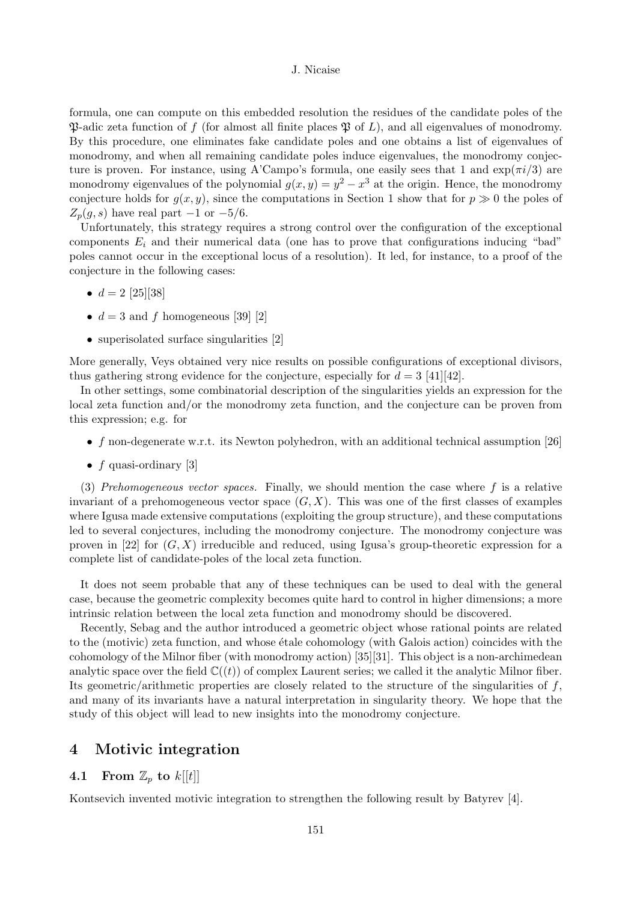formula, one can compute on this embedded resolution the residues of the candidate poles of the  $\mathfrak P$ -adic zeta function of f (for almost all finite places  $\mathfrak P$  of L), and all eigenvalues of monodromy. By this procedure, one eliminates fake candidate poles and one obtains a list of eigenvalues of monodromy, and when all remaining candidate poles induce eigenvalues, the monodromy conjecture is proven. For instance, using A'Campo's formula, one easily sees that 1 and  $\exp(\pi i/3)$  are monodromy eigenvalues of the polynomial  $g(x, y) = y^2 - x^3$  at the origin. Hence, the monodromy conjecture holds for  $g(x, y)$ , since the computations in Section 1 show that for  $p \gg 0$  the poles of  $Z_p(g, s)$  have real part  $-1$  or  $-5/6$ .

Unfortunately, this strategy requires a strong control over the configuration of the exceptional components  $E_i$  and their numerical data (one has to prove that configurations inducing "bad" poles cannot occur in the exceptional locus of a resolution). It led, for instance, to a proof of the conjecture in the following cases:

- $d = 2$  [25][38]
- $d = 3$  and f homogeneous [39] [2]
- superisolated surface singularities [2]

More generally, Veys obtained very nice results on possible configurations of exceptional divisors, thus gathering strong evidence for the conjecture, especially for  $d = 3$  [41][42].

In other settings, some combinatorial description of the singularities yields an expression for the local zeta function and/or the monodromy zeta function, and the conjecture can be proven from this expression; e.g. for

- f non-degenerate w.r.t. its Newton polyhedron, with an additional technical assumption  $[26]$
- $f$  quasi-ordinary [3]

(3) Prehomogeneous vector spaces. Finally, we should mention the case where  $f$  is a relative invariant of a prehomogeneous vector space  $(G, X)$ . This was one of the first classes of examples where Igusa made extensive computations (exploiting the group structure), and these computations led to several conjectures, including the monodromy conjecture. The monodromy conjecture was proven in [22] for  $(G, X)$  irreducible and reduced, using Igusa's group-theoretic expression for a complete list of candidate-poles of the local zeta function.

It does not seem probable that any of these techniques can be used to deal with the general case, because the geometric complexity becomes quite hard to control in higher dimensions; a more intrinsic relation between the local zeta function and monodromy should be discovered.

Recently, Sebag and the author introduced a geometric object whose rational points are related to the (motivic) zeta function, and whose étale cohomology (with Galois action) coincides with the cohomology of the Milnor fiber (with monodromy action) [35][31]. This object is a non-archimedean analytic space over the field  $\mathbb{C}((t))$  of complex Laurent series; we called it the analytic Milnor fiber. Its geometric/arithmetic properties are closely related to the structure of the singularities of  $f$ , and many of its invariants have a natural interpretation in singularity theory. We hope that the study of this object will lead to new insights into the monodromy conjecture.

# 4 Motivic integration

# 4.1 From  $\mathbb{Z}_p$  to  $k[[t]]$

Kontsevich invented motivic integration to strengthen the following result by Batyrev [4].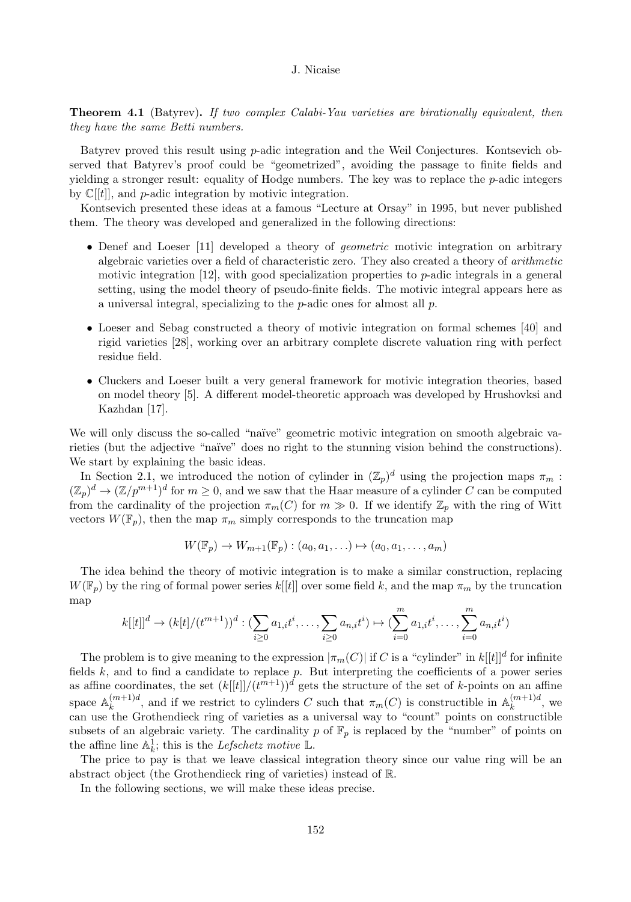**Theorem 4.1** (Batyrev). If two complex Calabi-Yau varieties are birationally equivalent, then they have the same Betti numbers.

Batyrev proved this result using  $p$ -adic integration and the Weil Conjectures. Kontsevich observed that Batyrev's proof could be "geometrized", avoiding the passage to finite fields and yielding a stronger result: equality of Hodge numbers. The key was to replace the  $p$ -adic integers by  $\mathbb{C}[[t]]$ , and p-adic integration by motivic integration.

Kontsevich presented these ideas at a famous "Lecture at Orsay" in 1995, but never published them. The theory was developed and generalized in the following directions:

- Denef and Loeser [11] developed a theory of *geometric* motivic integration on arbitrary algebraic varieties over a field of characteristic zero. They also created a theory of arithmetic motivic integration  $[12]$ , with good specialization properties to *p*-adic integrals in a general setting, using the model theory of pseudo-finite fields. The motivic integral appears here as a universal integral, specializing to the p-adic ones for almost all p.
- Loeser and Sebag constructed a theory of motivic integration on formal schemes [40] and rigid varieties [28], working over an arbitrary complete discrete valuation ring with perfect residue field.
- Cluckers and Loeser built a very general framework for motivic integration theories, based on model theory [5]. A different model-theoretic approach was developed by Hrushovksi and Kazhdan [17].

We will only discuss the so-called "naïve" geometric motivic integration on smooth algebraic varieties (but the adjective "na¨ıve" does no right to the stunning vision behind the constructions). We start by explaining the basic ideas.

In Section 2.1, we introduced the notion of cylinder in  $(\mathbb{Z}_p)^d$  using the projection maps  $\pi_m$ :  $(\mathbb{Z}_p)^d \to (\mathbb{Z}/p^{m+1})^d$  for  $m \geq 0$ , and we saw that the Haar measure of a cylinder C can be computed from the cardinality of the projection  $\pi_m(C)$  for  $m \gg 0$ . If we identify  $\mathbb{Z}_p$  with the ring of Witt vectors  $W(\mathbb{F}_p)$ , then the map  $\pi_m$  simply corresponds to the truncation map

$$
W(\mathbb{F}_p) \to W_{m+1}(\mathbb{F}_p) : (a_0, a_1, \ldots) \mapsto (a_0, a_1, \ldots, a_m)
$$

The idea behind the theory of motivic integration is to make a similar construction, replacing  $W(\mathbb{F}_p)$  by the ring of formal power series  $k[[t]]$  over some field k, and the map  $\pi_m$  by the truncation map

$$
k[[t]]^d \to (k[t]/(t^{m+1}))^d : (\sum_{i\geq 0} a_{1,i}t^i, \dots, \sum_{i\geq 0} a_{n,i}t^i) \mapsto (\sum_{i=0}^m a_{1,i}t^i, \dots, \sum_{i=0}^m a_{n,i}t^i)
$$

The problem is to give meaning to the expression  $|\pi_m(C)|$  if C is a "cylinder" in  $k[[t]]^d$  for infinite fields  $k$ , and to find a candidate to replace  $p$ . But interpreting the coefficients of a power series as affine coordinates, the set  $(k[[t]]/(t^{m+1}))^d$  gets the structure of the set of k-points on an affine space  $\mathbb{A}_k^{(m+1)d}$ , and if we restrict to cylinders C such that  $\pi_m(C)$  is constructible in  $\mathbb{A}_k^{(m+1)d}$ , we can use the Grothendieck ring of varieties as a universal way to "count" points on constructible subsets of an algebraic variety. The cardinality p of  $\mathbb{F}_p$  is replaced by the "number" of points on the affine line  $\mathbb{A}_k^1$ ; this is the *Lefschetz motive*  $\mathbb{L}$ .

The price to pay is that we leave classical integration theory since our value ring will be an abstract object (the Grothendieck ring of varieties) instead of R.

In the following sections, we will make these ideas precise.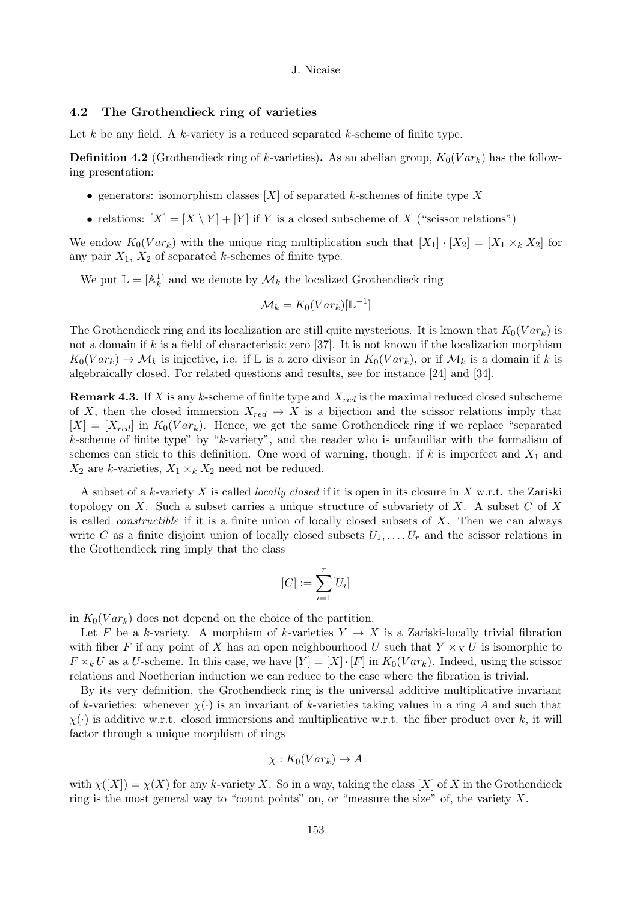# 4.2 The Grothendieck ring of varieties

Let k be any field. A k-variety is a reduced separated k-scheme of finite type.

**Definition 4.2** (Grothendieck ring of k-varieties). As an abelian group,  $K_0(Var_k)$  has the following presentation:

- generators: isomorphism classes  $[X]$  of separated k-schemes of finite type X
- relations:  $[X] = [X \ Y] + [Y]$  if Y is a closed subscheme of X ("scissor relations")

We endow  $K_0(Var_k)$  with the unique ring multiplication such that  $[X_1] \cdot [X_2] = [X_1 \times_k X_2]$  for any pair  $X_1, X_2$  of separated k-schemes of finite type.

We put  $\mathbb{L} = [\mathbb{A}_{k}^{1}]$  and we denote by  $\mathcal{M}_{k}$  the localized Grothendieck ring

$$
\mathcal{M}_k = K_0(Var_k)[\mathbb{L}^{-1}]
$$

The Grothendieck ring and its localization are still quite mysterious. It is known that  $K_0(Var_k)$  is not a domain if k is a field of characteristic zero  $[37]$ . It is not known if the localization morphism  $K_0(Var_k) \to \mathcal{M}_k$  is injective, i.e. if L is a zero divisor in  $K_0(Var_k)$ , or if  $\mathcal{M}_k$  is a domain if k is algebraically closed. For related questions and results, see for instance [24] and [34].

**Remark 4.3.** If X is any k-scheme of finite type and  $X_{red}$  is the maximal reduced closed subscheme of X, then the closed immersion  $X_{red} \to X$  is a bijection and the scissor relations imply that  $[X] = [X_{red}]$  in  $K_0(Var_k)$ . Hence, we get the same Grothendieck ring if we replace "separated" k-scheme of finite type" by "k-variety", and the reader who is unfamiliar with the formalism of schemes can stick to this definition. One word of warning, though: if k is imperfect and  $X_1$  and  $X_2$  are k-varieties,  $X_1 \times_k X_2$  need not be reduced.

A subset of a k-variety X is called *locally closed* if it is open in its closure in X w.r.t. the Zariski topology on X. Such a subset carries a unique structure of subvariety of X. A subset  $C$  of X is called *constructible* if it is a finite union of locally closed subsets of  $X$ . Then we can always write C as a finite disjoint union of locally closed subsets  $U_1, \ldots, U_r$  and the scissor relations in the Grothendieck ring imply that the class

$$
[C]:=\sum_{i=1}^r [U_i]
$$

in  $K_0(Var_k)$  does not depend on the choice of the partition.

Let F be a k-variety. A morphism of k-varieties  $Y \to X$  is a Zariski-locally trivial fibration with fiber F if any point of X has an open neighbourhood U such that  $Y \times_X U$  is isomorphic to  $F \times_k U$  as a U-scheme. In this case, we have  $[Y] = [X] \cdot [F]$  in  $K_0(Var_k)$ . Indeed, using the scissor relations and Noetherian induction we can reduce to the case where the fibration is trivial.

By its very definition, the Grothendieck ring is the universal additive multiplicative invariant of k-varieties: whenever  $\chi(\cdot)$  is an invariant of k-varieties taking values in a ring A and such that  $\chi(\cdot)$  is additive w.r.t. closed immersions and multiplicative w.r.t. the fiber product over k, it will factor through a unique morphism of rings

$$
\chi: K_0(Var_k) \to A
$$

with  $\chi([X]) = \chi(X)$  for any k-variety X. So in a way, taking the class  $[X]$  of X in the Grothendieck ring is the most general way to "count points" on, or "measure the size" of, the variety  $X$ .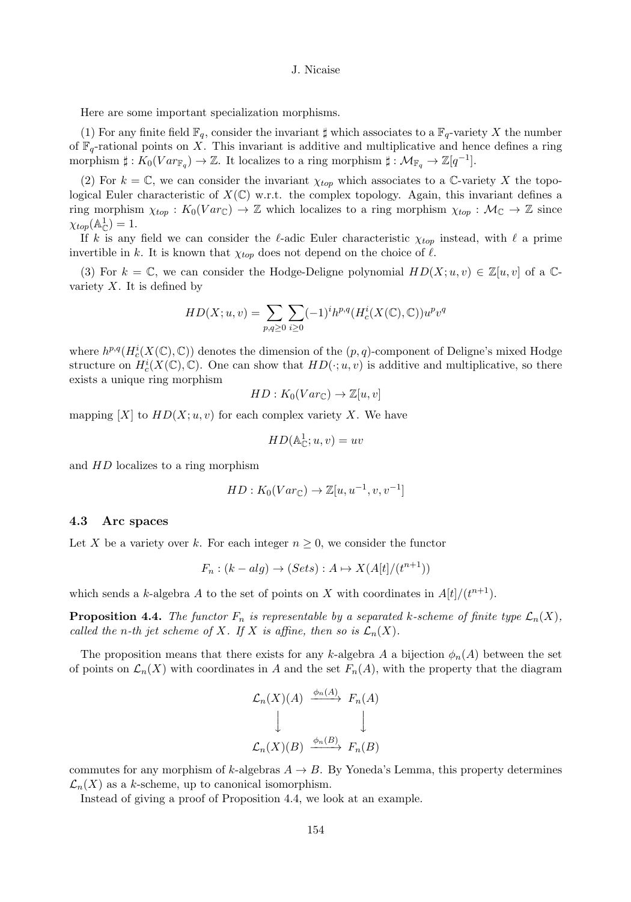Here are some important specialization morphisms.

(1) For any finite field  $\mathbb{F}_q$ , consider the invariant  $\sharp$  which associates to a  $\mathbb{F}_q$ -variety X the number of  $\mathbb{F}_q$ -rational points on X. This invariant is additive and multiplicative and hence defines a ring morphism  $\sharp : K_0(Var_{\mathbb{F}_q}) \to \mathbb{Z}$ . It localizes to a ring morphism  $\sharp : \mathcal{M}_{\mathbb{F}_q} \to \mathbb{Z}[q^{-1}]$ .

(2) For  $k = \mathbb{C}$ , we can consider the invariant  $\chi_{top}$  which associates to a  $\mathbb{C}$ -variety X the topological Euler characteristic of  $X(\mathbb{C})$  w.r.t. the complex topology. Again, this invariant defines a ring morphism  $\chi_{top}: K_0(Var_{\mathbb{C}}) \to \mathbb{Z}$  which localizes to a ring morphism  $\chi_{top}: \mathcal{M}_{\mathbb{C}} \to \mathbb{Z}$  since  $\chi_{top}(\mathbb{A}_{\mathbb{C}}^1)=1.$ 

If k is any field we can consider the  $\ell$ -adic Euler characteristic  $\chi_{top}$  instead, with  $\ell$  a prime invertible in k. It is known that  $\chi_{top}$  does not depend on the choice of  $\ell$ .

(3) For  $k = \mathbb{C}$ , we can consider the Hodge-Deligne polynomial  $HD(X; u, v) \in \mathbb{Z}[u, v]$  of a  $\mathbb{C}$ variety  $X$ . It is defined by

$$
HD(X; u, v) = \sum_{p,q \ge 0} \sum_{i \ge 0} (-1)^i h^{p,q}(H_c^i(X(\mathbb{C}), \mathbb{C})) u^p v^q
$$

where  $h^{p,q}(H_c^i(X(\mathbb{C}), \mathbb{C}))$  denotes the dimension of the  $(p, q)$ -component of Deligne's mixed Hodge structure on  $H_c^i(X(\mathbb{C}), \mathbb{C})$ . One can show that  $HD(\cdot; u, v)$  is additive and multiplicative, so there exists a unique ring morphism

$$
HD: K_0(Var_{\mathbb{C}}) \to \mathbb{Z}[u, v]
$$

mapping  $[X]$  to  $HD(X; u, v)$  for each complex variety X. We have

$$
HD(\mathbb{A}_{\mathbb{C}}^1; u, v) = uv
$$

and HD localizes to a ring morphism

$$
HD: K_0(Var_{\mathbb{C}}) \to \mathbb{Z}[u, u^{-1}, v, v^{-1}]
$$

## 4.3 Arc spaces

Let X be a variety over k. For each integer  $n \geq 0$ , we consider the functor

$$
F_n : (k-alg) \to (Sets) : A \mapsto X(A[t]/(t^{n+1}))
$$

which sends a k-algebra A to the set of points on X with coordinates in  $A[t]/(t^{n+1})$ .

**Proposition 4.4.** The functor  $F_n$  is representable by a separated k-scheme of finite type  $\mathcal{L}_n(X)$ , called the n-th jet scheme of X. If X is affine, then so is  $\mathcal{L}_n(X)$ .

The proposition means that there exists for any k-algebra A a bijection  $\phi_n(A)$  between the set of points on  $\mathcal{L}_n(X)$  with coordinates in A and the set  $F_n(A)$ , with the property that the diagram

$$
\mathcal{L}_n(X)(A) \xrightarrow{\phi_n(A)} F_n(A)
$$
  

$$
\downarrow \qquad \qquad \downarrow
$$
  

$$
\mathcal{L}_n(X)(B) \xrightarrow{\phi_n(B)} F_n(B)
$$

commutes for any morphism of k-algebras  $A \rightarrow B$ . By Yoneda's Lemma, this property determines  $\mathcal{L}_n(X)$  as a k-scheme, up to canonical isomorphism.

Instead of giving a proof of Proposition 4.4, we look at an example.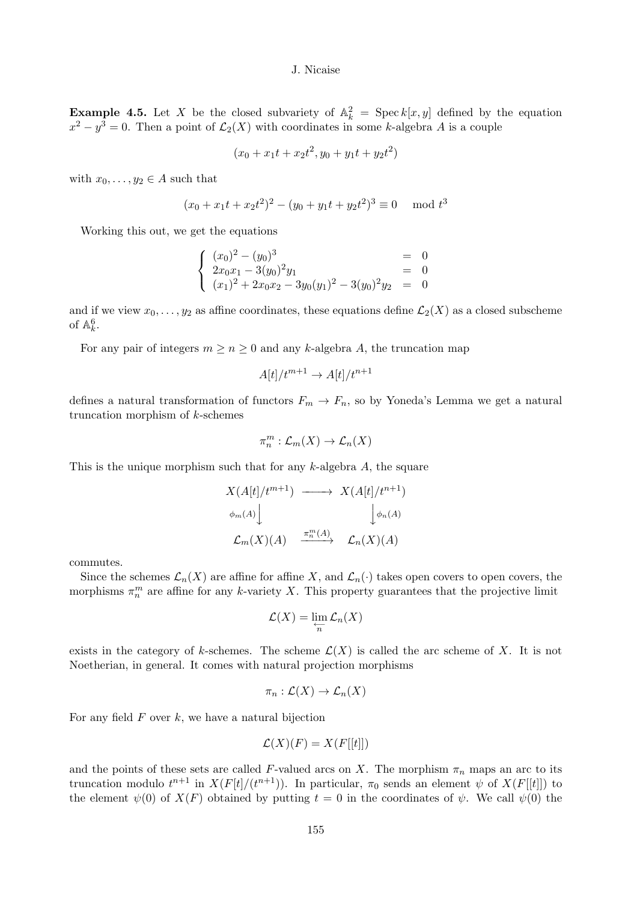**Example 4.5.** Let X be the closed subvariety of  $\mathbb{A}_k^2 = \text{Spec } k[x, y]$  defined by the equation  $x^2 - y^3 = 0$ . Then a point of  $\mathcal{L}_2(X)$  with coordinates in some k-algebra A is a couple

$$
(x_0 + x_1t + x_2t^2, y_0 + y_1t + y_2t^2)
$$

with  $x_0, \ldots, y_2 \in A$  such that

$$
(x_0 + x_1t + x_2t^2)^2 - (y_0 + y_1t + y_2t^2)^3 \equiv 0 \mod t^3
$$

Working this out, we get the equations

$$
\begin{cases}\n(x_0)^2 - (y_0)^3 &= 0 \\
2x_0x_1 - 3(y_0)^2y_1 &= 0 \\
(x_1)^2 + 2x_0x_2 - 3y_0(y_1)^2 - 3(y_0)^2y_2 &= 0\n\end{cases}
$$

and if we view  $x_0, \ldots, y_2$  as affine coordinates, these equations define  $\mathcal{L}_2(X)$  as a closed subscheme of  $\mathbb{A}_k^6$ .

For any pair of integers  $m \ge n \ge 0$  and any k-algebra A, the truncation map

$$
A[t]/t^{m+1} \to A[t]/t^{n+1}
$$

defines a natural transformation of functors  $F_m \to F_n$ , so by Yoneda's Lemma we get a natural truncation morphism of  $k$ -schemes

$$
\pi_n^m : \mathcal{L}_m(X) \to \mathcal{L}_n(X)
$$

This is the unique morphism such that for any  $k$ -algebra  $A$ , the square

$$
X(A[t]/t^{m+1}) \longrightarrow X(A[t]/t^{n+1})
$$
  
\n
$$
\phi_m(A) \downarrow \qquad \qquad \downarrow \phi_n(A)
$$
  
\n
$$
\mathcal{L}_m(X)(A) \xrightarrow{\pi_n^m(A)} \mathcal{L}_n(X)(A)
$$

commutes.

Since the schemes  $\mathcal{L}_n(X)$  are affine for affine X, and  $\mathcal{L}_n(\cdot)$  takes open covers to open covers, the morphisms  $\pi_n^m$  are affine for any k-variety X. This property guarantees that the projective limit

$$
\mathcal{L}(X) = \lim_{\substack{\longleftarrow \\ n}} \mathcal{L}_n(X)
$$

exists in the category of k-schemes. The scheme  $\mathcal{L}(X)$  is called the arc scheme of X. It is not Noetherian, in general. It comes with natural projection morphisms

$$
\pi_n : \mathcal{L}(X) \to \mathcal{L}_n(X)
$$

For any field  $F$  over  $k$ , we have a natural bijection

$$
\mathcal{L}(X)(F) = X(F[[t]])
$$

and the points of these sets are called F-valued arcs on X. The morphism  $\pi_n$  maps an arc to its truncation modulo  $t^{n+1}$  in  $X(F[t]/(t^{n+1}))$ . In particular,  $\pi_0$  sends an element  $\psi$  of  $X(F[[t]])$  to the element  $\psi(0)$  of  $X(F)$  obtained by putting  $t = 0$  in the coordinates of  $\psi$ . We call  $\psi(0)$  the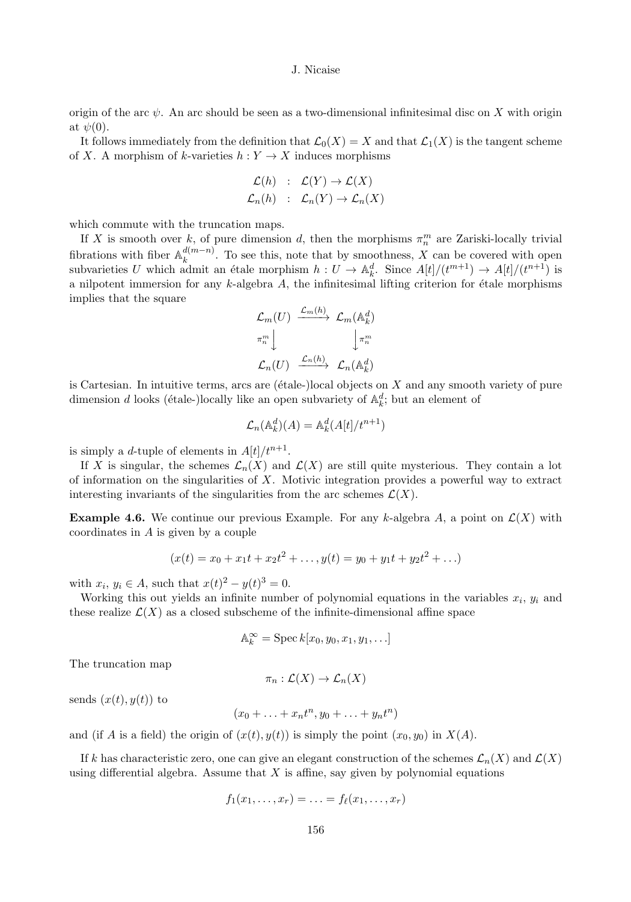origin of the arc  $\psi$ . An arc should be seen as a two-dimensional infinitesimal disc on X with origin at  $\psi(0)$ .

It follows immediately from the definition that  $\mathcal{L}_0(X) = X$  and that  $\mathcal{L}_1(X)$  is the tangent scheme of X. A morphism of k-varieties  $h: Y \to X$  induces morphisms

$$
\mathcal{L}(h) : \mathcal{L}(Y) \to \mathcal{L}(X) \mathcal{L}_n(h) : \mathcal{L}_n(Y) \to \mathcal{L}_n(X)
$$

which commute with the truncation maps.

If X is smooth over k, of pure dimension d, then the morphisms  $\pi_n^m$  are Zariski-locally trivial fibrations with fiber  $\mathbb{A}_k^{d(m-n)}$ . To see this, note that by smoothness, X can be covered with open subvarieties U which admit an étale morphism  $h : U \to \mathbb{A}^d_k$ . Since  $A[t]/(t^{m+1}) \to A[t]/(t^{n+1})$  is a nilpotent immersion for any  $k$ -algebra  $A$ , the infinitesimal lifting criterion for étale morphisms implies that the square

$$
\mathcal{L}_m(U) \xrightarrow{\mathcal{L}_m(h)} \mathcal{L}_m(\mathbb{A}_k^d)
$$
  

$$
\pi_n^m \downarrow \qquad \qquad \downarrow \pi_n^m
$$
  

$$
\mathcal{L}_n(U) \xrightarrow{\mathcal{L}_n(h)} \mathcal{L}_n(\mathbb{A}_k^d)
$$

is Cartesian. In intuitive terms, arcs are ( $\acute{e}t$ ale-)local objects on X and any smooth variety of pure dimension *d* looks (étale-)locally like an open subvariety of  $\mathbb{A}_k^d$ ; but an element of

$$
\mathcal{L}_n(\mathbb{A}_k^d)(A) = \mathbb{A}_k^d(A[t]/t^{n+1})
$$

is simply a *d*-tuple of elements in  $A[t]/t^{n+1}$ .

If X is singular, the schemes  $\mathcal{L}_n(X)$  and  $\mathcal{L}(X)$  are still quite mysterious. They contain a lot of information on the singularities of  $X$ . Motivic integration provides a powerful way to extract interesting invariants of the singularities from the arc schemes  $\mathcal{L}(X)$ .

**Example 4.6.** We continue our previous Example. For any k-algebra A, a point on  $\mathcal{L}(X)$  with coordinates in  $A$  is given by a couple

$$
(x(t) = x_0 + x_1t + x_2t^2 + \dots, y(t) = y_0 + y_1t + y_2t^2 + \dots)
$$

with  $x_i, y_i \in A$ , such that  $x(t)^2 - y(t)^3 = 0$ .

Working this out yields an infinite number of polynomial equations in the variables  $x_i$ ,  $y_i$  and these realize  $\mathcal{L}(X)$  as a closed subscheme of the infinite-dimensional affine space

$$
\mathbb{A}_k^{\infty} = \operatorname{Spec} k[x_0, y_0, x_1, y_1, \ldots]
$$

The truncation map

$$
\pi_n:\mathcal{L}(X)\to\mathcal{L}_n(X)
$$

sends  $(x(t), y(t))$  to

$$
(x_0 + \ldots + x_n t^n, y_0 + \ldots + y_n t^n)
$$

and (if A is a field) the origin of  $(x(t), y(t))$  is simply the point  $(x_0, y_0)$  in  $X(A)$ .

If k has characteristic zero, one can give an elegant construction of the schemes  $\mathcal{L}_n(X)$  and  $\mathcal{L}(X)$ using differential algebra. Assume that  $X$  is affine, say given by polynomial equations

$$
f_1(x_1,\ldots,x_r)=\ldots=f_\ell(x_1,\ldots,x_r)
$$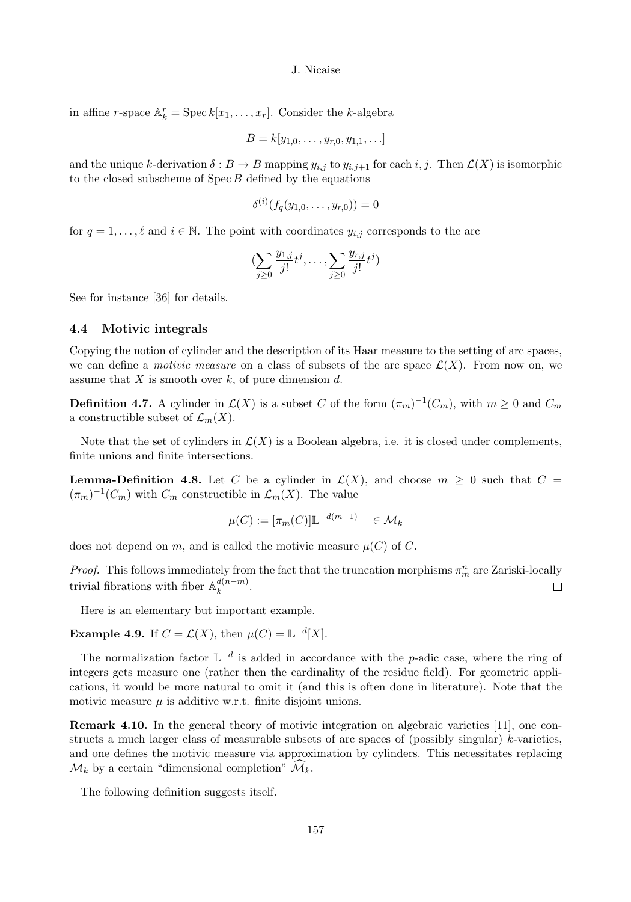in affine r-space  $\mathbb{A}_k^r = \operatorname{Spec} k[x_1, \ldots, x_r]$ . Consider the k-algebra

$$
B = k[y_{1,0},\ldots,y_{r,0},y_{1,1},\ldots]
$$

and the unique k-derivation  $\delta : B \to B$  mapping  $y_{i,j}$  to  $y_{i,j+1}$  for each  $i, j$ . Then  $\mathcal{L}(X)$  is isomorphic to the closed subscheme of  $\text{Spec } B$  defined by the equations

$$
\delta^{(i)}(f_q(y_{1,0},\ldots,y_{r,0}))=0
$$

for  $q = 1, \ldots, \ell$  and  $i \in \mathbb{N}$ . The point with coordinates  $y_{i,j}$  corresponds to the arc

$$
(\sum_{j\geq 0} \frac{y_{1,j}}{j!} t^j, \dots, \sum_{j\geq 0} \frac{y_{r,j}}{j!} t^j)
$$

See for instance [36] for details.

# 4.4 Motivic integrals

Copying the notion of cylinder and the description of its Haar measure to the setting of arc spaces, we can define a *motivic measure* on a class of subsets of the arc space  $\mathcal{L}(X)$ . From now on, we assume that  $X$  is smooth over  $k$ , of pure dimension  $d$ .

**Definition 4.7.** A cylinder in  $\mathcal{L}(X)$  is a subset C of the form  $(\pi_m)^{-1}(C_m)$ , with  $m \geq 0$  and  $C_m$ a constructible subset of  $\mathcal{L}_m(X)$ .

Note that the set of cylinders in  $\mathcal{L}(X)$  is a Boolean algebra, i.e. it is closed under complements, finite unions and finite intersections.

**Lemma-Definition 4.8.** Let C be a cylinder in  $\mathcal{L}(X)$ , and choose  $m \geq 0$  such that  $C =$  $(\pi_m)^{-1}(C_m)$  with  $C_m$  constructible in  $\mathcal{L}_m(X)$ . The value

$$
\mu(C) := [\pi_m(C)] \mathbb{L}^{-d(m+1)} \in \mathcal{M}_k
$$

does not depend on m, and is called the motivic measure  $\mu(C)$  of C.

*Proof.* This follows immediately from the fact that the truncation morphisms  $\pi_m^n$  are Zariski-locally trivial fibrations with fiber  $\mathbb{A}_k^{d(n-m)}$ .  $\Box$ 

Here is an elementary but important example.

**Example 4.9.** If  $C = \mathcal{L}(X)$ , then  $\mu(C) = \mathbb{L}^{-d}[X]$ .

The normalization factor  $\mathbb{L}^{-d}$  is added in accordance with the p-adic case, where the ring of integers gets measure one (rather then the cardinality of the residue field). For geometric applications, it would be more natural to omit it (and this is often done in literature). Note that the motivic measure  $\mu$  is additive w.r.t. finite disjoint unions.

Remark 4.10. In the general theory of motivic integration on algebraic varieties [11], one constructs a much larger class of measurable subsets of arc spaces of (possibly singular) k-varieties, and one defines the motivic measure via approximation by cylinders. This necessitates replacing  $\mathcal{M}_k$  by a certain "dimensional completion"  $\mathcal{M}_k$ .

The following definition suggests itself.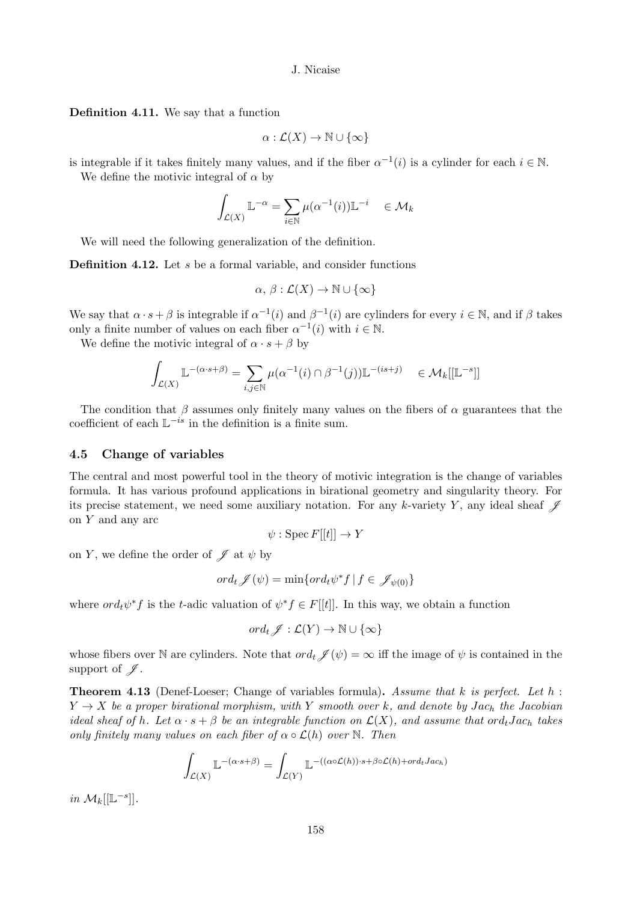Definition 4.11. We say that a function

$$
\alpha:\mathcal{L}(X)\to\mathbb{N}\cup\{\infty\}
$$

is integrable if it takes finitely many values, and if the fiber  $\alpha^{-1}(i)$  is a cylinder for each  $i \in \mathbb{N}$ .

We define the motivic integral of  $\alpha$  by

$$
\int_{\mathcal{L}(X)} \mathbb{L}^{-\alpha} = \sum_{i \in \mathbb{N}} \mu(\alpha^{-1}(i)) \mathbb{L}^{-i} \quad \in \mathcal{M}_k
$$

We will need the following generalization of the definition.

**Definition 4.12.** Let  $s$  be a formal variable, and consider functions

$$
\alpha, \, \beta : \mathcal{L}(X) \to \mathbb{N} \cup \{\infty\}
$$

We say that  $\alpha \cdot s + \beta$  is integrable if  $\alpha^{-1}(i)$  and  $\beta^{-1}(i)$  are cylinders for every  $i \in \mathbb{N}$ , and if  $\beta$  takes only a finite number of values on each fiber  $\alpha^{-1}(i)$  with  $i \in \mathbb{N}$ .

We define the motivic integral of  $\alpha \cdot s + \beta$  by

$$
\int_{\mathcal{L}(X)} \mathbb{L}^{-(\alpha \cdot s + \beta)} = \sum_{i,j \in \mathbb{N}} \mu(\alpha^{-1}(i) \cap \beta^{-1}(j)) \mathbb{L}^{-(is+j)} \quad \in \mathcal{M}_k[[\mathbb{L}^{-s}]]
$$

The condition that  $\beta$  assumes only finitely many values on the fibers of  $\alpha$  guarantees that the coefficient of each  $\mathbb{L}^{-is}$  in the definition is a finite sum.

# 4.5 Change of variables

The central and most powerful tool in the theory of motivic integration is the change of variables formula. It has various profound applications in birational geometry and singularity theory. For its precise statement, we need some auxiliary notation. For any k-variety Y, any ideal sheaf  $\mathscr J$ on Y and any arc

$$
\psi: \operatorname{Spec} F[[t]] \to Y
$$

on Y, we define the order of  $\mathscr J$  at  $\psi$  by

$$
ord_t \mathscr{J}(\psi) = \min\{ord_t \psi^* f \mid f \in \mathscr{J}_{\psi(0)}\}
$$

where  $ord_t \psi^* f$  is the t-adic valuation of  $\psi^* f \in F[[t]]$ . In this way, we obtain a function

$$
ord_t \mathscr{J} : \mathcal{L}(Y) \to \mathbb{N} \cup \{\infty\}
$$

whose fibers over N are cylinders. Note that  $ord_t \mathscr{J}(\psi) = \infty$  iff the image of  $\psi$  is contained in the support of  $\mathscr{J}.$ 

**Theorem 4.13** (Denef-Loeser; Change of variables formula). Assume that k is perfect. Let h:  $Y \rightarrow X$  be a proper birational morphism, with Y smooth over k, and denote by Jach the Jacobian ideal sheaf of h. Let  $\alpha \cdot s + \beta$  be an integrable function on  $\mathcal{L}(X)$ , and assume that ord<sub>t</sub> Jac<sub>h</sub> takes only finitely many values on each fiber of  $\alpha \circ \mathcal{L}(h)$  over  $\mathbb{N}$ . Then

$$
\int_{\mathcal{L}(X)} \mathbb{L}^{-(\alpha \cdot s + \beta)} = \int_{\mathcal{L}(Y)} \mathbb{L}^{-((\alpha \circ \mathcal{L}(h)) \cdot s + \beta \circ \mathcal{L}(h) + ord_t Jac_h)}
$$

in  $\mathcal{M}_k[[\mathbb{L}^{-s}]].$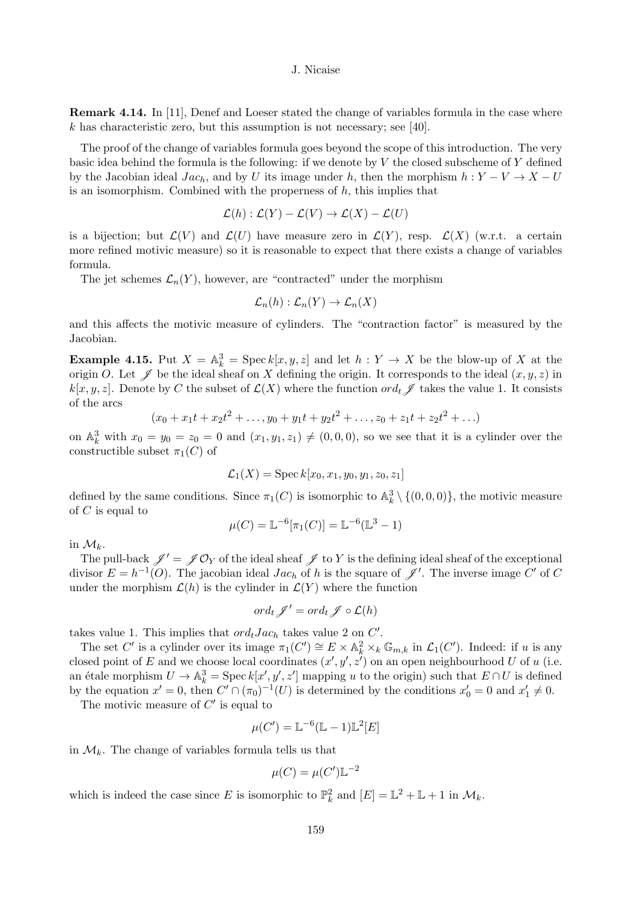**Remark 4.14.** In [11], Denef and Loeser stated the change of variables formula in the case where k has characteristic zero, but this assumption is not necessary; see [40].

The proof of the change of variables formula goes beyond the scope of this introduction. The very basic idea behind the formula is the following: if we denote by  $V$  the closed subscheme of  $Y$  defined by the Jacobian ideal  $Jac_h$ , and by U its image under h, then the morphism  $h: Y - V \to X - U$ is an isomorphism. Combined with the properness of  $h$ , this implies that

$$
\mathcal{L}(h) : \mathcal{L}(Y) - \mathcal{L}(V) \to \mathcal{L}(X) - \mathcal{L}(U)
$$

is a bijection; but  $\mathcal{L}(V)$  and  $\mathcal{L}(U)$  have measure zero in  $\mathcal{L}(Y)$ , resp.  $\mathcal{L}(X)$  (w.r.t. a certain more refined motivic measure) so it is reasonable to expect that there exists a change of variables formula.

The jet schemes  $\mathcal{L}_n(Y)$ , however, are "contracted" under the morphism

$$
\mathcal{L}_n(h): \mathcal{L}_n(Y) \to \mathcal{L}_n(X)
$$

and this affects the motivic measure of cylinders. The "contraction factor" is measured by the Jacobian.

**Example 4.15.** Put  $X = \mathbb{A}_k^3 = \operatorname{Spec} k[x, y, z]$  and let  $h: Y \to X$  be the blow-up of X at the origin O. Let  $\mathscr J$  be the ideal sheaf on X defining the origin. It corresponds to the ideal  $(x, y, z)$  in  $k[x, y, z]$ . Denote by C the subset of  $\mathcal{L}(X)$  where the function  $\partial t \mathscr{J}$  takes the value 1. It consists of the arcs

$$
(x_0 + x_1t + x_2t^2 + \dots, y_0 + y_1t + y_2t^2 + \dots, z_0 + z_1t + z_2t^2 + \dots)
$$

on  $\mathbb{A}_k^3$  with  $x_0 = y_0 = z_0 = 0$  and  $(x_1, y_1, z_1) \neq (0, 0, 0)$ , so we see that it is a cylinder over the constructible subset  $\pi_1(C)$  of

$$
\mathcal{L}_1(X) = \text{Spec}\, k[x_0, x_1, y_0, y_1, z_0, z_1]
$$

defined by the same conditions. Since  $\pi_1(C)$  is isomorphic to  $\mathbb{A}_k^3 \setminus \{(0,0,0)\}\)$ , the motivic measure of  $C$  is equal to

$$
\mu(C) = \mathbb{L}^{-6}[\pi_1(C)] = \mathbb{L}^{-6}(\mathbb{L}^3 - 1)
$$

in  $\mathcal{M}_k$ .

The pull-back  $\mathscr{J}' = \mathscr{J} \mathcal{O}_Y$  of the ideal sheaf  $\mathscr{J}$  to Y is the defining ideal sheaf of the exceptional divisor  $E = h^{-1}(O)$ . The jacobian ideal  $Jac_h$  of h is the square of  $\mathscr{J}'$ . The inverse image C' of C under the morphism  $\mathcal{L}(h)$  is the cylinder in  $\mathcal{L}(Y)$  where the function

$$
ord_t \mathscr{J}' = ord_t \mathscr{J} \circ \mathcal{L}(h)
$$

takes value 1. This implies that  $ord_tJac_h$  takes value 2 on  $C'$ .

The set C' is a cylinder over its image  $\pi_1(C') \cong E \times \mathbb{A}_k^2 \times_k \mathbb{G}_{m,k}$  in  $\mathcal{L}_1(C')$ . Indeed: if u is any closed point of E and we choose local coordinates  $(x', y', z')$  on an open neighbourhood U of u (i.e. an étale morphism  $U \to \mathbb{A}^3_k = \text{Spec } k[x', y', z']$  mapping u to the origin) such that  $E \cap U$  is defined by the equation  $x' = 0$ , then  $C' \cap (\pi_0)^{-1}(U)$  is determined by the conditions  $x'_0 = 0$  and  $x'_1 \neq 0$ .

The motivic measure of  $C'$  is equal to

$$
\mu(C') = \mathbb{L}^{-6}(\mathbb{L} - 1)\mathbb{L}^2[E]
$$

in  $\mathcal{M}_k$ . The change of variables formula tells us that

$$
\mu(C) = \mu(C') \mathbb{L}^{-2}
$$

which is indeed the case since E is isomorphic to  $\mathbb{P}_k^2$  and  $[E] = \mathbb{L}^2 + \mathbb{L} + 1$  in  $\mathcal{M}_k$ .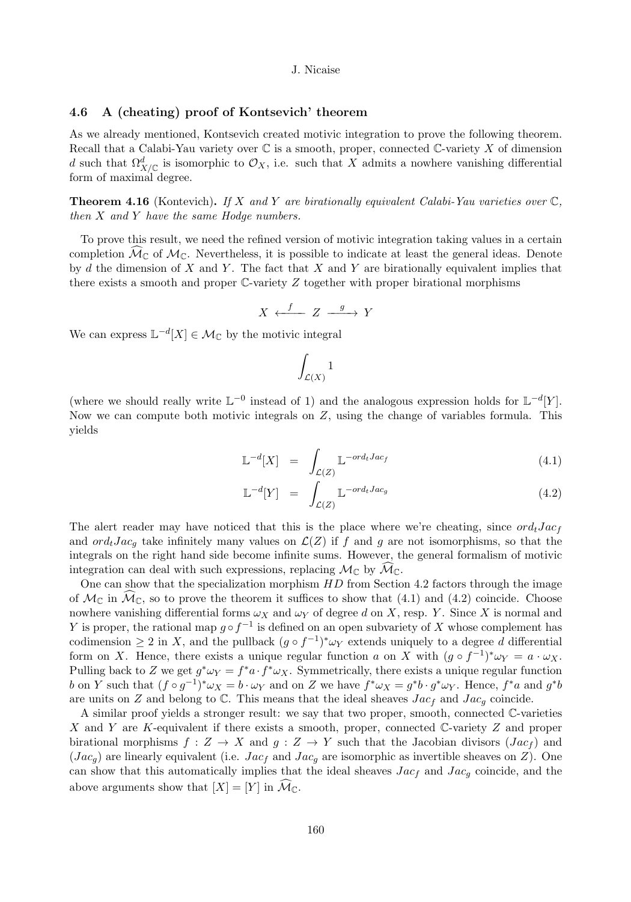# 4.6 A (cheating) proof of Kontsevich' theorem

As we already mentioned, Kontsevich created motivic integration to prove the following theorem. Recall that a Calabi-Yau variety over  $\mathbb C$  is a smooth, proper, connected  $\mathbb C$ -variety X of dimension d such that  $\Omega^d_{X/\mathbb{C}}$  is isomorphic to  $\mathcal{O}_X$ , i.e. such that X admits a nowhere vanishing differential form of maximal degree.

**Theorem 4.16** (Kontevich). If X and Y are birationally equivalent Calabi-Yau varieties over  $\mathbb{C}$ , then  $X$  and  $Y$  have the same Hodge numbers.

To prove this result, we need the refined version of motivic integration taking values in a certain completion  $\mathcal{M}_{\mathbb{C}}$  of  $\mathcal{M}_{\mathbb{C}}$ . Nevertheless, it is possible to indicate at least the general ideas. Denote by d the dimension of  $X$  and  $Y$ . The fact that  $X$  and  $Y$  are birationally equivalent implies that there exists a smooth and proper  $\mathbb{C}\text{-variety }Z$  together with proper birational morphisms

$$
X \xleftarrow{f} Z \xrightarrow{g} Y
$$

We can express  $\mathbb{L}^{-d}[X] \in \mathcal{M}_{\mathbb{C}}$  by the motivic integral

$$
\int_{\mathcal{L}(X)} 1
$$

(where we should really write  $\mathbb{L}^{-0}$  instead of 1) and the analogous expression holds for  $\mathbb{L}^{-d}[Y]$ . Now we can compute both motivic integrals on  $Z$ , using the change of variables formula. This yields

$$
\mathbb{L}^{-d}[X] = \int_{\mathcal{L}(Z)} \mathbb{L}^{-ord_t Jac_f} \tag{4.1}
$$

$$
\mathbb{L}^{-d}[Y] = \int_{\mathcal{L}(Z)} \mathbb{L}^{-ord_tJac_g} \tag{4.2}
$$

The alert reader may have noticed that this is the place where we're cheating, since  $ord_tJac_f$ and  $ord_tJac_q$  take infinitely many values on  $\mathcal{L}(Z)$  if f and g are not isomorphisms, so that the integrals on the right hand side become infinite sums. However, the general formalism of motivic integration can deal with such expressions, replacing  $\mathcal{M}_{\mathbb{C}}$  by  $\widehat{\mathcal{M}}_{\mathbb{C}}$ .

One can show that the specialization morphism  $HD$  from Section 4.2 factors through the image of  $\mathcal{M}_{\mathbb{C}}$  in  $\mathcal{M}_{\mathbb{C}}$ , so to prove the theorem it suffices to show that (4.1) and (4.2) coincide. Choose nowhere vanishing differential forms  $\omega_X$  and  $\omega_Y$  of degree d on X, resp. Y. Since X is normal and Y is proper, the rational map  $g \circ f^{-1}$  is defined on an open subvariety of X whose complement has codimension  $\geq 2$  in X, and the pullback  $(g \circ f^{-1})^* \omega_Y$  extends uniquely to a degree d differential form on X. Hence, there exists a unique regular function a on X with  $(g \circ f^{-1})^* \omega_Y = a \cdot \omega_X$ . Pulling back to Z we get  $g^*\omega_Y = f^*a \cdot f^*\omega_X$ . Symmetrically, there exists a unique regular function b on Y such that  $(f \circ g^{-1})^* \omega_X = b \cdot \omega_Y$  and on Z we have  $f^* \omega_X = g^* b \cdot g^* \omega_Y$ . Hence,  $f^* a$  and  $g^* b$ are units on Z and belong to C. This means that the ideal sheaves  $Jac_f$  and  $Jac_g$  coincide.

A similar proof yields a stronger result: we say that two proper, smooth, connected C-varieties X and Y are K-equivalent if there exists a smooth, proper, connected C-variety Z and proper birational morphisms  $f: Z \to X$  and  $g: Z \to Y$  such that the Jacobian divisors  $(Jac_f)$  and  $(Jac<sub>q</sub>)$  are linearly equivalent (i.e.  $Jac<sub>f</sub>$  and  $Jac<sub>q</sub>$  are isomorphic as invertible sheaves on Z). One can show that this automatically implies that the ideal sheaves  $Jac_f$  and  $Jac_g$  coincide, and the above arguments show that  $[X] = [Y]$  in  $\widehat{\mathcal{M}}_{\mathbb{C}}$ .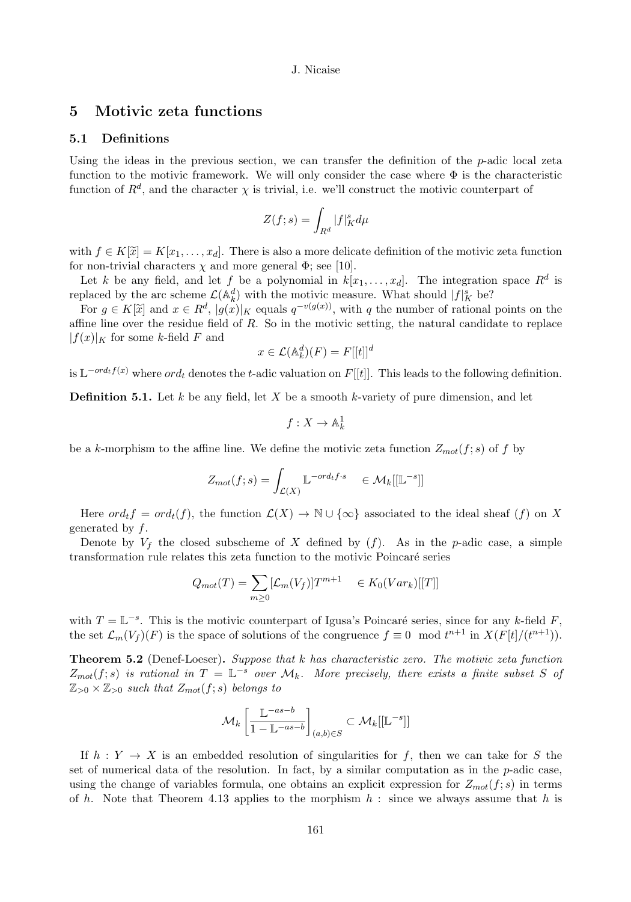# 5 Motivic zeta functions

# 5.1 Definitions

Using the ideas in the previous section, we can transfer the definition of the  $p$ -adic local zeta function to the motivic framework. We will only consider the case where  $\Phi$  is the characteristic function of  $R^d$ , and the character  $\chi$  is trivial, i.e. we'll construct the motivic counterpart of

$$
Z(f;s)=\int_{R^d}|f|_K^sd\mu
$$

with  $f \in K[\tilde{x}] = K[x_1, \ldots, x_d]$ . There is also a more delicate definition of the motivic zeta function for non-trivial characters  $\chi$  and more general  $\Phi$ ; see [10].

Let k be any field, and let f be a polynomial in  $k[x_1, \ldots, x_d]$ . The integration space  $R^d$  is replaced by the arc scheme  $\mathcal{L}(\mathbb{A}_k^d)$  with the motivic measure. What should  $|f|_K^s$  be?

For  $g \in K[\tilde{x}]$  and  $x \in R^d$ ,  $|g(x)|_K$  equals  $q^{-v(g(x))}$ , with q the number of rational points on the affine line over the residue field of  $R$ . So in the motivic setting, the natural candidate to replace  $|f(x)|_K$  for some k-field F and

$$
x \in \mathcal{L}(\mathbb{A}_k^d)(F) = F[[t]]^d
$$

is  $\mathbb{L}^{-ord_t f(x)}$  where  $ord_t$  denotes the t-adic valuation on  $F[[t]]$ . This leads to the following definition.

**Definition 5.1.** Let k be any field, let X be a smooth k-variety of pure dimension, and let

$$
f:X\to\mathbb{A}^1_k
$$

be a k-morphism to the affine line. We define the motivic zeta function  $Z_{mot}(f; s)$  of f by

$$
Z_{mot}(f;s) = \int_{\mathcal{L}(X)} \mathbb{L}^{-ord_t f \cdot s} \quad \in \mathcal{M}_k[[\mathbb{L}^{-s}]]
$$

Here  $ord_t f = ord_t(f)$ , the function  $\mathcal{L}(X) \to \mathbb{N} \cup {\infty}$  associated to the ideal sheaf  $(f)$  on X generated by  $f$ .

Denote by  $V_f$  the closed subscheme of X defined by  $(f)$ . As in the p-adic case, a simple transformation rule relates this zeta function to the motivic Poincaré series

$$
Q_{mot}(T) = \sum_{m \ge 0} [\mathcal{L}_m(V_f)]T^{m+1} \quad \in K_0(Var_k)[[T]]
$$

with  $T = \mathbb{L}^{-s}$ . This is the motivic counterpart of Igusa's Poincaré series, since for any k-field F, the set  $\mathcal{L}_m(V_f)(F)$  is the space of solutions of the congruence  $f \equiv 0 \mod t^{n+1}$  in  $X(F[t]/(t^{n+1}))$ .

**Theorem 5.2** (Denef-Loeser). Suppose that  $k$  has characteristic zero. The motivic zeta function  $Z_{mot}(f;s)$  is rational in  $T = \mathbb{L}^{-s}$  over  $\mathcal{M}_k$ . More precisely, there exists a finite subset S of  $\mathbb{Z}_{>0}\times\mathbb{Z}_{>0}$  such that  $Z_{mot}(f;s)$  belongs to

$$
\mathcal{M}_k \left[ \frac{\mathbb{L}^{-as-b}}{1 - \mathbb{L}^{-as-b}} \right]_{(a,b) \in S} \subset \mathcal{M}_k[[\mathbb{L}^{-s}]]
$$

If  $h: Y \to X$  is an embedded resolution of singularities for f, then we can take for S the set of numerical data of the resolution. In fact, by a similar computation as in the  $p$ -adic case, using the change of variables formula, one obtains an explicit expression for  $Z_{mot}(f; s)$  in terms of h. Note that Theorem 4.13 applies to the morphism  $h$  : since we always assume that h is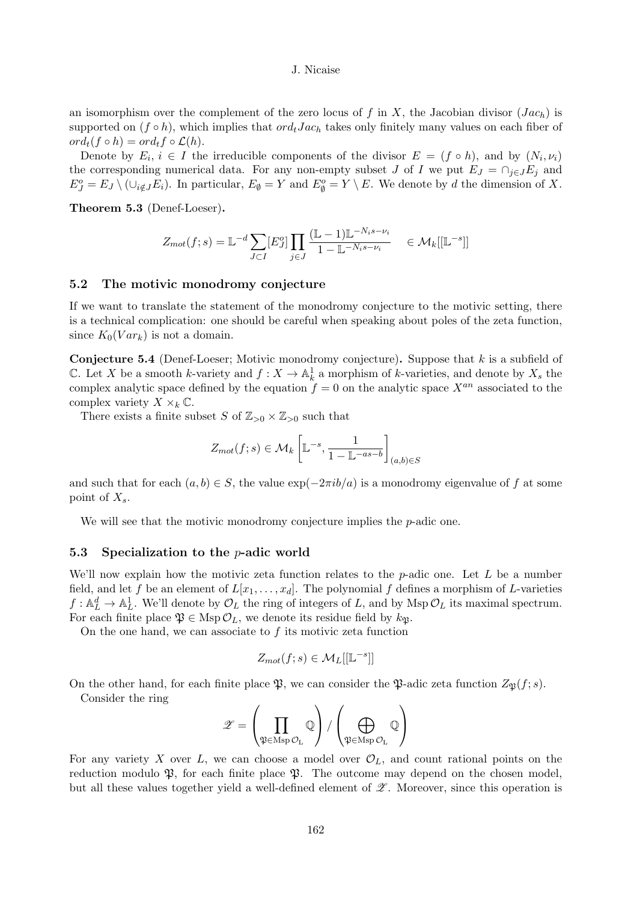an isomorphism over the complement of the zero locus of f in X, the Jacobian divisor  $(Jac_h)$  is supported on  $(f \circ h)$ , which implies that  $ord_tJac_h$  takes only finitely many values on each fiber of  $ord_t(f \circ h) = ord_t f \circ \mathcal{L}(h).$ 

Denote by  $E_i, i \in I$  the irreducible components of the divisor  $E = (f \circ h)$ , and by  $(N_i, \nu_i)$ the corresponding numerical data. For any non-empty subset J of I we put  $E_J = \cap_{j \in J} E_j$  and  $E_J^o = E_J \setminus (\cup_{i \notin J} E_i)$ . In particular,  $E_{\emptyset} = Y$  and  $E_{\emptyset}^o = Y \setminus E$ . We denote by d the dimension of X.

Theorem 5.3 (Denef-Loeser).

$$
Z_{mot}(f;s) = \mathbb{L}^{-d} \sum_{J \subset I} [E_J^o] \prod_{j \in J} \frac{(\mathbb{L} - 1)\mathbb{L}^{-N_i s - \nu_i}}{1 - \mathbb{L}^{-N_i s - \nu_i}} \in \mathcal{M}_k[[\mathbb{L}^{-s}]]
$$

# 5.2 The motivic monodromy conjecture

If we want to translate the statement of the monodromy conjecture to the motivic setting, there is a technical complication: one should be careful when speaking about poles of the zeta function, since  $K_0(Var_k)$  is not a domain.

**Conjecture 5.4** (Denef-Loeser; Motivic monodromy conjecture). Suppose that  $k$  is a subfield of C. Let X be a smooth k-variety and  $f: X \to \mathbb{A}^1_k$  a morphism of k-varieties, and denote by  $X_s$  the complex analytic space defined by the equation  $f = 0$  on the analytic space  $X^{an}$  associated to the complex variety  $X \times_k \mathbb{C}$ .

There exists a finite subset S of  $\mathbb{Z}_{>0} \times \mathbb{Z}_{>0}$  such that

$$
Z_{mot}(f;s) \in \mathcal{M}_k\left[\mathbb{L}^{-s}, \frac{1}{1-\mathbb{L}^{-as-b}}\right]_{(a,b)\in S}
$$

and such that for each  $(a, b) \in S$ , the value  $\exp(-2\pi i b/a)$  is a monodromy eigenvalue of f at some point of  $X_s$ .

We will see that the motivic monodromy conjecture implies the *p*-adic one.

## 5.3 Specialization to the  $p$ -adic world

We'll now explain how the motivic zeta function relates to the  $p$ -adic one. Let L be a number field, and let f be an element of  $L[x_1, \ldots, x_d]$ . The polynomial f defines a morphism of L-varieties  $f: \mathbb{A}_{L}^{d} \to \mathbb{A}_{L}^{1}$ . We'll denote by  $\mathcal{O}_{L}$  the ring of integers of L, and by Msp  $\mathcal{O}_{L}$  its maximal spectrum. For each finite place  $\mathfrak{P} \in \text{Msp } \mathcal{O}_L$ , we denote its residue field by  $k_{\mathfrak{P}}$ .

On the one hand, we can associate to  $f$  its motivic zeta function

$$
Z_{mot}(f;s) \in \mathcal{M}_L[[\mathbb{L}^{-s}]]
$$

On the other hand, for each finite place  $\mathfrak{P}$ , we can consider the  $\mathfrak{P}$ -adic zeta function  $Z_{\mathfrak{P}}(f; s)$ . Consider the ring

$$
\mathscr{Z} = \left(\prod_{\mathfrak{P} \in \mathrm{Msp}\, \mathcal{O}_L} \mathbb{Q}\right) / \left(\bigoplus_{\mathfrak{P} \in \mathrm{Msp}\, \mathcal{O}_L} \mathbb{Q}\right)
$$

For any variety X over L, we can choose a model over  $\mathcal{O}_L$ , and count rational points on the reduction modulo  $\mathfrak{P}$ , for each finite place  $\mathfrak{P}$ . The outcome may depend on the chosen model, but all these values together yield a well-defined element of  $\mathscr{L}$ . Moreover, since this operation is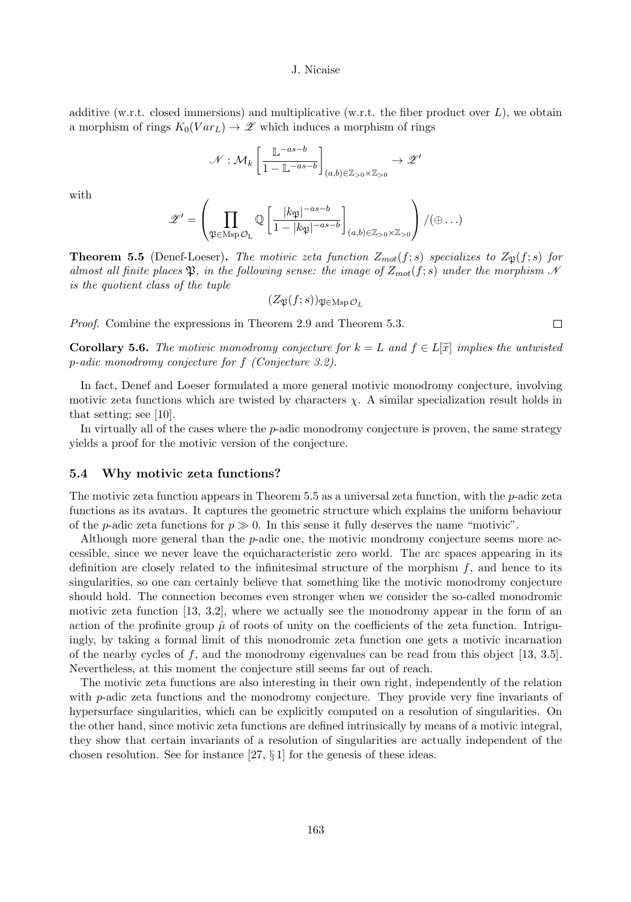additive (w.r.t. closed immersions) and multiplicative (w.r.t. the fiber product over  $L$ ), we obtain a morphism of rings  $K_0(Var_L) \to \mathscr{Z}$  which induces a morphism of rings

$$
\mathcal{N} : \mathcal{M}_k \left[ \frac{\mathbb{L}^{-as-b}}{1 - \mathbb{L}^{-as-b}} \right]_{(a,b) \in \mathbb{Z}_{>0} \times \mathbb{Z}_{>0}} \to \mathscr{Z}'
$$

with

$$
\mathscr{Z}' = \left(\prod_{\mathfrak{P} \in \mathrm{Msp}\,\mathcal{O}_L} \mathbb{Q}\left[\frac{|k_{\mathfrak{P}}|^{-as-b}}{1-|k_{\mathfrak{P}}|^{-as-b}}\right]_{(a,b)\in \mathbb{Z}_{>0}\times \mathbb{Z}_{>0}}\right)/(\oplus \ldots)
$$

**Theorem 5.5** (Denef-Loeser). The motivic zeta function  $Z_{mot}(f; s)$  specializes to  $Z_{\mathfrak{P}}(f; s)$  for almost all finite places  $\mathfrak{P}$ , in the following sense: the image of  $Z_{mot}(f; s)$  under the morphism N is the quotient class of the tuple

$$
(Z_{\mathfrak{P}}(f;s))_{\mathfrak{P}\in\operatorname{Msp}\mathcal{O}_L}
$$

Proof. Combine the expressions in Theorem 2.9 and Theorem 5.3.

**Corollary 5.6.** The motivic monodromy conjecture for  $k = L$  and  $f \in L[\tilde{x}]$  implies the untwisted p-adic monodromy conjecture for f (Conjecture 3.2).

In fact, Denef and Loeser formulated a more general motivic monodromy conjecture, involving motivic zeta functions which are twisted by characters  $\chi$ . A similar specialization result holds in that setting; see [10].

In virtually all of the cases where the  $p$ -adic monodromy conjecture is proven, the same strategy yields a proof for the motivic version of the conjecture.

#### 5.4 Why motivic zeta functions?

The motivic zeta function appears in Theorem  $5.5$  as a universal zeta function, with the  $p$ -adic zeta functions as its avatars. It captures the geometric structure which explains the uniform behaviour of the p-adic zeta functions for  $p \gg 0$ . In this sense it fully deserves the name "motivic".

Although more general than the  $p$ -adic one, the motivic mondromy conjecture seems more accessible, since we never leave the equicharacteristic zero world. The arc spaces appearing in its definition are closely related to the infinitesimal structure of the morphism  $f$ , and hence to its singularities, so one can certainly believe that something like the motivic monodromy conjecture should hold. The connection becomes even stronger when we consider the so-called monodromic motivic zeta function [13, 3.2], where we actually see the monodromy appear in the form of an action of the profinite group  $\hat{\mu}$  of roots of unity on the coefficients of the zeta function. Intriguingly, by taking a formal limit of this monodromic zeta function one gets a motivic incarnation of the nearby cycles of f, and the monodromy eigenvalues can be read from this object  $[13, 3.5]$ . Nevertheless, at this moment the conjecture still seems far out of reach.

The motivic zeta functions are also interesting in their own right, independently of the relation with  $p$ -adic zeta functions and the monodromy conjecture. They provide very fine invariants of hypersurface singularities, which can be explicitly computed on a resolution of singularities. On the other hand, since motivic zeta functions are defined intrinsically by means of a motivic integral, they show that certain invariants of a resolution of singularities are actually independent of the chosen resolution. See for instance [27, § 1] for the genesis of these ideas.

 $\Box$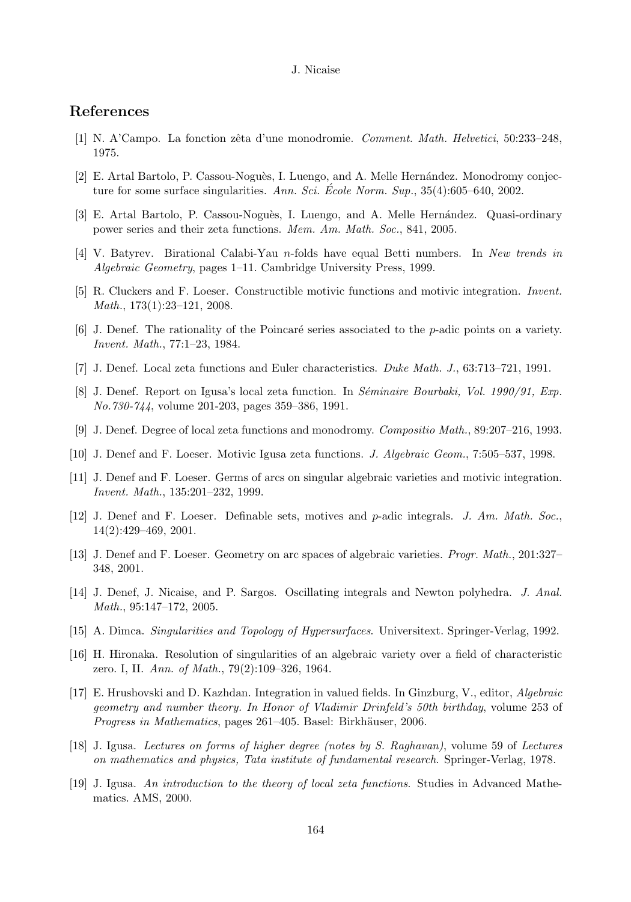# References

- [1] N. A'Campo. La fonction zˆeta d'une monodromie. Comment. Math. Helvetici, 50:233–248, 1975.
- [2] E. Artal Bartolo, P. Cassou-Noguès, I. Luengo, and A. Melle Hernández. Monodromy conjecture for some surface singularities. Ann. Sci. Ecole Norm. Sup.,  $35(4):605-640$ , 2002.
- [3] E. Artal Bartolo, P. Cassou-Noguès, I. Luengo, and A. Melle Hernández. Quasi-ordinary power series and their zeta functions. Mem. Am. Math. Soc., 841, 2005.
- [4] V. Batyrev. Birational Calabi-Yau n-folds have equal Betti numbers. In New trends in Algebraic Geometry, pages 1–11. Cambridge University Press, 1999.
- [5] R. Cluckers and F. Loeser. Constructible motivic functions and motivic integration. Invent. Math., 173(1):23–121, 2008.
- [6] J. Denef. The rationality of the Poincaré series associated to the p-adic points on a variety. Invent. Math., 77:1–23, 1984.
- [7] J. Denef. Local zeta functions and Euler characteristics. Duke Math. J., 63:713–721, 1991.
- [8] J. Denef. Report on Igusa's local zeta function. In Séminaire Bourbaki, Vol. 1990/91, Exp. No.730-744, volume 201-203, pages 359–386, 1991.
- [9] J. Denef. Degree of local zeta functions and monodromy. Compositio Math., 89:207–216, 1993.
- [10] J. Denef and F. Loeser. Motivic Igusa zeta functions. J. Algebraic Geom., 7:505–537, 1998.
- [11] J. Denef and F. Loeser. Germs of arcs on singular algebraic varieties and motivic integration. Invent. Math., 135:201–232, 1999.
- [12] J. Denef and F. Loeser. Definable sets, motives and p-adic integrals. J. Am. Math. Soc., 14(2):429–469, 2001.
- [13] J. Denef and F. Loeser. Geometry on arc spaces of algebraic varieties. Progr. Math., 201:327– 348, 2001.
- [14] J. Denef, J. Nicaise, and P. Sargos. Oscillating integrals and Newton polyhedra. J. Anal. Math., 95:147–172, 2005.
- [15] A. Dimca. Singularities and Topology of Hypersurfaces. Universitext. Springer-Verlag, 1992.
- [16] H. Hironaka. Resolution of singularities of an algebraic variety over a field of characteristic zero. I, II. Ann. of Math., 79(2):109–326, 1964.
- [17] E. Hrushovski and D. Kazhdan. Integration in valued fields. In Ginzburg, V., editor, Algebraic geometry and number theory. In Honor of Vladimir Drinfeld's 50th birthday, volume 253 of Progress in Mathematics, pages 261–405. Basel: Birkhäuser, 2006.
- [18] J. Igusa. Lectures on forms of higher degree (notes by S. Raghavan), volume 59 of Lectures on mathematics and physics, Tata institute of fundamental research. Springer-Verlag, 1978.
- [19] J. Igusa. An introduction to the theory of local zeta functions. Studies in Advanced Mathematics. AMS, 2000.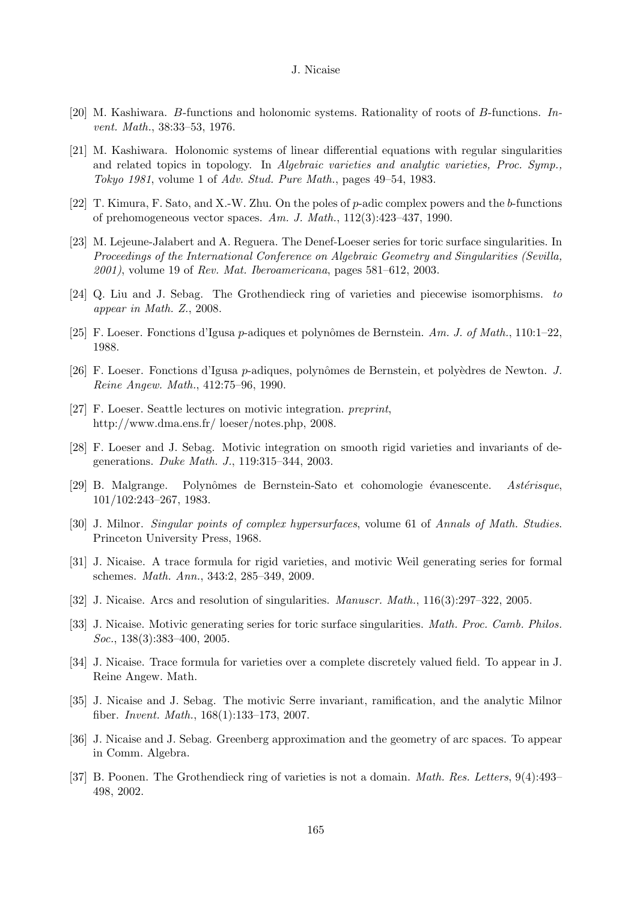- [20] M. Kashiwara. B-functions and holonomic systems. Rationality of roots of B-functions. Invent. Math., 38:33–53, 1976.
- [21] M. Kashiwara. Holonomic systems of linear differential equations with regular singularities and related topics in topology. In Algebraic varieties and analytic varieties, Proc. Symp., Tokyo 1981, volume 1 of Adv. Stud. Pure Math., pages 49–54, 1983.
- [22] T. Kimura, F. Sato, and X.-W. Zhu. On the poles of p-adic complex powers and the b-functions of prehomogeneous vector spaces. Am. J. Math., 112(3):423–437, 1990.
- [23] M. Lejeune-Jalabert and A. Reguera. The Denef-Loeser series for toric surface singularities. In Proceedings of the International Conference on Algebraic Geometry and Singularities (Sevilla,  $2001$ , volume 19 of Rev. Mat. Iberoamericana, pages 581–612, 2003.
- [24] Q. Liu and J. Sebag. The Grothendieck ring of varieties and piecewise isomorphisms. to appear in Math. Z., 2008.
- [25] F. Loeser. Fonctions d'Igusa p-adiques et polynômes de Bernstein. Am. J. of Math., 110:1–22, 1988.
- [26] F. Loeser. Fonctions d'Igusa p-adiques, polynômes de Bernstein, et polyèdres de Newton. J. Reine Angew. Math., 412:75–96, 1990.
- [27] F. Loeser. Seattle lectures on motivic integration. preprint, http://www.dma.ens.fr/ loeser/notes.php, 2008.
- [28] F. Loeser and J. Sebag. Motivic integration on smooth rigid varieties and invariants of degenerations. Duke Math. J., 119:315–344, 2003.
- [29] B. Malgrange. Polynômes de Bernstein-Sato et cohomologie évanescente. Astérisque, 101/102:243–267, 1983.
- [30] J. Milnor. Singular points of complex hypersurfaces, volume 61 of Annals of Math. Studies. Princeton University Press, 1968.
- [31] J. Nicaise. A trace formula for rigid varieties, and motivic Weil generating series for formal schemes. Math. Ann., 343:2, 285–349, 2009.
- [32] J. Nicaise. Arcs and resolution of singularities. Manuscr. Math., 116(3):297–322, 2005.
- [33] J. Nicaise. Motivic generating series for toric surface singularities. Math. Proc. Camb. Philos. Soc., 138(3):383–400, 2005.
- [34] J. Nicaise. Trace formula for varieties over a complete discretely valued field. To appear in J. Reine Angew. Math.
- [35] J. Nicaise and J. Sebag. The motivic Serre invariant, ramification, and the analytic Milnor fiber. Invent. Math., 168(1):133–173, 2007.
- [36] J. Nicaise and J. Sebag. Greenberg approximation and the geometry of arc spaces. To appear in Comm. Algebra.
- [37] B. Poonen. The Grothendieck ring of varieties is not a domain. *Math. Res. Letters*, 9(4):493– 498, 2002.